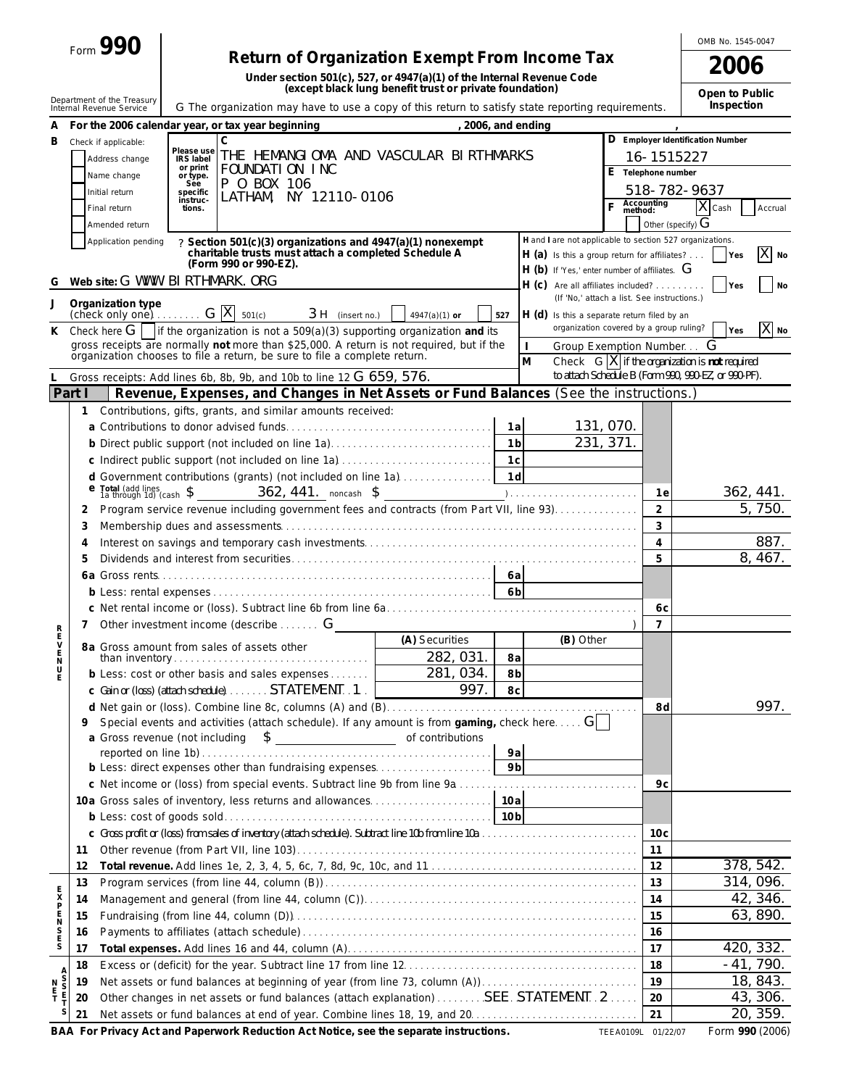|                                 | $_{\text{Form}}$ 990                                                                                                                                                                                                   |                                       |                                                                                                                        |                                                                           |                                                                                                                                                                                                                 |                |                                                                                    | OMB No. 1545-0047 |                                              |                                                                                                         |                       |
|---------------------------------|------------------------------------------------------------------------------------------------------------------------------------------------------------------------------------------------------------------------|---------------------------------------|------------------------------------------------------------------------------------------------------------------------|---------------------------------------------------------------------------|-----------------------------------------------------------------------------------------------------------------------------------------------------------------------------------------------------------------|----------------|------------------------------------------------------------------------------------|-------------------|----------------------------------------------|---------------------------------------------------------------------------------------------------------|-----------------------|
|                                 |                                                                                                                                                                                                                        |                                       | Return of Organization Exempt From Income Tax<br>Under section 501(c), 527, or 4947(a)(1) of the Internal Revenue Code |                                                                           |                                                                                                                                                                                                                 |                |                                                                                    |                   |                                              | 2006                                                                                                    |                       |
|                                 | (except black lung benefit trust or private foundation)<br>Department of the Treasury<br>G The organization may have to use a copy of this return to satisfy state reporting requirements.<br>Internal Revenue Service |                                       |                                                                                                                        |                                                                           |                                                                                                                                                                                                                 |                |                                                                                    |                   | Open to Public<br>Inspection                 |                                                                                                         |                       |
|                                 |                                                                                                                                                                                                                        |                                       | For the 2006 calendar year, or tax year beginning                                                                      |                                                                           | , 2006, and ending                                                                                                                                                                                              |                |                                                                                    |                   |                                              |                                                                                                         |                       |
| В                               |                                                                                                                                                                                                                        | Check if applicable:                  | $\mathsf{C}$                                                                                                           |                                                                           |                                                                                                                                                                                                                 |                |                                                                                    |                   |                                              | D Employer Identification Number                                                                        |                       |
|                                 |                                                                                                                                                                                                                        | Address change                        | Please use<br><b>IRS</b> label<br>or print                                                                             |                                                                           | THE HEMANGIOMA AND VASCULAR BIRTHMARKS                                                                                                                                                                          |                |                                                                                    |                   | 16-1515227                                   |                                                                                                         |                       |
|                                 |                                                                                                                                                                                                                        | Name change                           | or type.<br>See                                                                                                        | FOUNDATION INC<br>P 0 BOX 106                                             |                                                                                                                                                                                                                 |                |                                                                                    |                   | E Telephone number                           |                                                                                                         |                       |
|                                 |                                                                                                                                                                                                                        | Initial return                        | specific<br>instruc-                                                                                                   | LATHAM, NY 12110-0106                                                     |                                                                                                                                                                                                                 |                |                                                                                    |                   |                                              | 518-782-9637                                                                                            |                       |
|                                 |                                                                                                                                                                                                                        | Final return                          | tions.                                                                                                                 |                                                                           |                                                                                                                                                                                                                 |                |                                                                                    | Ē                 | Accounting<br>method:<br>Other (specify) $G$ | X Cash                                                                                                  | Accrual               |
|                                 |                                                                                                                                                                                                                        | Amended return<br>Application pending |                                                                                                                        | ? Section 501(c)(3) organizations and 4947(a)(1) nonexempt                |                                                                                                                                                                                                                 |                | H and I are not applicable to section 527 organizations.                           |                   |                                              |                                                                                                         |                       |
|                                 |                                                                                                                                                                                                                        |                                       |                                                                                                                        | charitable trusts must attach a completed Schedule A                      |                                                                                                                                                                                                                 |                | $H(a)$ is this a group return for affiliates?                                      |                   |                                              | Yes                                                                                                     | Χ<br>No               |
| G                               |                                                                                                                                                                                                                        |                                       | (Form 990 or 990-EZ).<br>Web site: G WWW. BI RTHMARK. ORG                                                              |                                                                           |                                                                                                                                                                                                                 |                | $H$ (b) If 'Yes,' enter number of affiliates. $G$                                  |                   |                                              |                                                                                                         |                       |
|                                 |                                                                                                                                                                                                                        |                                       |                                                                                                                        |                                                                           |                                                                                                                                                                                                                 |                | $H(C)$ Are all affiliates included?<br>(If 'No,' attach a list. See instructions.) |                   |                                              | Yes                                                                                                     | <b>No</b>             |
| J                               |                                                                                                                                                                                                                        | Organization type                     | $\frac{1}{2}$ (check only one) $\ldots \ldots$ G  X  $_{501(c)}$                                                       | $3H$ (insert no.)                                                         | 4947(a)(1) or                                                                                                                                                                                                   | 527            | H (d) Is this a separate return filed by an                                        |                   |                                              |                                                                                                         |                       |
| K.                              |                                                                                                                                                                                                                        |                                       |                                                                                                                        |                                                                           | Check here $G$   if the organization is not a 509(a)(3) supporting organization and its                                                                                                                         |                | organization covered by a group ruling?                                            |                   |                                              | Yes                                                                                                     | $X_{N0}$              |
|                                 |                                                                                                                                                                                                                        |                                       |                                                                                                                        | organization chooses to file a return, be sure to file a complete return. | gross receipts are normally not more than \$25,000. A return is not required, but if the                                                                                                                        |                | Group Exemption Number.                                                            |                   |                                              | G                                                                                                       |                       |
|                                 |                                                                                                                                                                                                                        |                                       |                                                                                                                        | Gross receipts: Add lines 6b, 8b, 9b, and 10b to line 12 G 659, 576.      |                                                                                                                                                                                                                 |                | $\mathsf{M}$                                                                       |                   |                                              | Check $G[X]$ if the organization is not required<br>to attach Schedule B (Form 990, 990-EZ, or 990-PF). |                       |
|                                 | Part I                                                                                                                                                                                                                 |                                       |                                                                                                                        |                                                                           | Revenue, Expenses, and Changes in Net Assets or Fund Balances (See the instructions.)                                                                                                                           |                |                                                                                    |                   |                                              |                                                                                                         |                       |
|                                 | 1                                                                                                                                                                                                                      |                                       |                                                                                                                        | Contributions, gifts, grants, and similar amounts received:               |                                                                                                                                                                                                                 |                |                                                                                    |                   |                                              |                                                                                                         |                       |
|                                 |                                                                                                                                                                                                                        |                                       |                                                                                                                        |                                                                           |                                                                                                                                                                                                                 | 1a             |                                                                                    | 131, 070.         |                                              |                                                                                                         |                       |
|                                 |                                                                                                                                                                                                                        |                                       |                                                                                                                        |                                                                           | b Direct public support (not included on line 1a)                                                                                                                                                               | 1 <sub>b</sub> |                                                                                    | 231, 371.         |                                              |                                                                                                         |                       |
|                                 |                                                                                                                                                                                                                        |                                       |                                                                                                                        |                                                                           |                                                                                                                                                                                                                 | 1d             |                                                                                    |                   |                                              |                                                                                                         |                       |
|                                 |                                                                                                                                                                                                                        |                                       | Total (add lines<br>1a through 1d) (cash \$                                                                            | 362, 441. noncash \$                                                      | d Government contributions (grants) (not included on line 1a)<br>$\sum_{i=1}^{n}$ and $\sum_{i=1}^{n}$ and $\sum_{i=1}^{n}$ and $\sum_{i=1}^{n}$ and $\sum_{i=1}^{n}$ and $\sum_{i=1}^{n}$ and $\sum_{i=1}^{n}$ |                |                                                                                    |                   | 1 e                                          |                                                                                                         | 362, 441.             |
|                                 | 2                                                                                                                                                                                                                      |                                       |                                                                                                                        |                                                                           | Program service revenue including government fees and contracts (from Part VII, line 93).                                                                                                                       |                |                                                                                    |                   | $\overline{2}$                               |                                                                                                         | 5,750.                |
|                                 | 3                                                                                                                                                                                                                      |                                       |                                                                                                                        |                                                                           |                                                                                                                                                                                                                 |                |                                                                                    |                   | 3                                            |                                                                                                         |                       |
|                                 | 4                                                                                                                                                                                                                      |                                       |                                                                                                                        |                                                                           |                                                                                                                                                                                                                 |                |                                                                                    |                   | $\overline{4}$                               |                                                                                                         | 887.                  |
|                                 | 5                                                                                                                                                                                                                      |                                       |                                                                                                                        |                                                                           |                                                                                                                                                                                                                 |                |                                                                                    |                   | 5                                            |                                                                                                         | 8, 467.               |
|                                 |                                                                                                                                                                                                                        |                                       |                                                                                                                        |                                                                           |                                                                                                                                                                                                                 | 6a             |                                                                                    |                   |                                              |                                                                                                         |                       |
|                                 | 6 <sub>b</sub>                                                                                                                                                                                                         |                                       |                                                                                                                        |                                                                           |                                                                                                                                                                                                                 |                | 6 C                                                                                |                   |                                              |                                                                                                         |                       |
| R                               | 7                                                                                                                                                                                                                      |                                       | Other investment income (describe  G                                                                                   |                                                                           |                                                                                                                                                                                                                 |                |                                                                                    |                   | $\overline{7}$                               |                                                                                                         |                       |
| Е                               |                                                                                                                                                                                                                        |                                       | 8a Gross amount from sales of assets other                                                                             |                                                                           | (A) Securities                                                                                                                                                                                                  |                | (B) Other                                                                          |                   |                                              |                                                                                                         |                       |
| $_{\rm N}^{\rm E}$              |                                                                                                                                                                                                                        |                                       |                                                                                                                        |                                                                           | 282, 031.                                                                                                                                                                                                       | 8a             |                                                                                    |                   |                                              |                                                                                                         |                       |
| U<br>Ė                          |                                                                                                                                                                                                                        |                                       |                                                                                                                        | b Less: cost or other basis and sales expenses                            | 281, 034.                                                                                                                                                                                                       | 8b             |                                                                                    |                   |                                              |                                                                                                         |                       |
|                                 |                                                                                                                                                                                                                        |                                       |                                                                                                                        | $\circ$ Gain or (loss) (attach schedule) STATEMENT1.                      | 997.                                                                                                                                                                                                            | 8 <sub>c</sub> |                                                                                    |                   |                                              |                                                                                                         | 997.                  |
|                                 |                                                                                                                                                                                                                        |                                       |                                                                                                                        |                                                                           | Special events and activities (attach schedule). If any amount is from gaming, check here $\overline{G}$                                                                                                        |                |                                                                                    |                   | 8d                                           |                                                                                                         |                       |
|                                 |                                                                                                                                                                                                                        |                                       |                                                                                                                        |                                                                           |                                                                                                                                                                                                                 |                |                                                                                    |                   |                                              |                                                                                                         |                       |
|                                 |                                                                                                                                                                                                                        |                                       |                                                                                                                        |                                                                           |                                                                                                                                                                                                                 | 9a             |                                                                                    |                   |                                              |                                                                                                         |                       |
|                                 |                                                                                                                                                                                                                        |                                       |                                                                                                                        |                                                                           | b Less: direct expenses other than fundraising expenses                                                                                                                                                         | 9 <sub>b</sub> |                                                                                    |                   | 9с                                           |                                                                                                         |                       |
|                                 |                                                                                                                                                                                                                        |                                       |                                                                                                                        |                                                                           | 10a Gross sales of inventory, less returns and allowances                                                                                                                                                       | 10a            |                                                                                    |                   |                                              |                                                                                                         |                       |
|                                 |                                                                                                                                                                                                                        |                                       |                                                                                                                        |                                                                           |                                                                                                                                                                                                                 |                |                                                                                    |                   |                                              |                                                                                                         |                       |
|                                 |                                                                                                                                                                                                                        |                                       |                                                                                                                        |                                                                           |                                                                                                                                                                                                                 |                |                                                                                    |                   | 10 <sub>c</sub>                              |                                                                                                         |                       |
|                                 | 11                                                                                                                                                                                                                     |                                       |                                                                                                                        |                                                                           |                                                                                                                                                                                                                 |                |                                                                                    |                   | 11                                           |                                                                                                         |                       |
|                                 | 12                                                                                                                                                                                                                     |                                       |                                                                                                                        |                                                                           |                                                                                                                                                                                                                 |                |                                                                                    |                   | 12                                           |                                                                                                         | 378, 542.             |
| E<br>X<br>P                     | 13<br>14                                                                                                                                                                                                               |                                       |                                                                                                                        |                                                                           |                                                                                                                                                                                                                 |                |                                                                                    |                   | 13<br>14                                     |                                                                                                         | 314, 096.<br>42, 346. |
| $\frac{E}{N}$                   | 15                                                                                                                                                                                                                     |                                       |                                                                                                                        |                                                                           |                                                                                                                                                                                                                 |                |                                                                                    |                   | 15                                           |                                                                                                         | 63, 890.              |
|                                 | 16                                                                                                                                                                                                                     |                                       |                                                                                                                        |                                                                           |                                                                                                                                                                                                                 |                |                                                                                    |                   | 16                                           |                                                                                                         |                       |
| S<br>E<br>S                     | 17                                                                                                                                                                                                                     |                                       |                                                                                                                        |                                                                           |                                                                                                                                                                                                                 |                |                                                                                    |                   | 17                                           |                                                                                                         | 420, 332.             |
|                                 | 18                                                                                                                                                                                                                     |                                       |                                                                                                                        |                                                                           |                                                                                                                                                                                                                 |                |                                                                                    |                   | 18                                           |                                                                                                         | $-41,790.$            |
| <b>D</b><br>DO<br>$\frac{N}{F}$ | 19                                                                                                                                                                                                                     |                                       |                                                                                                                        |                                                                           | Net assets or fund balances at beginning of year (from line 73, column (A))                                                                                                                                     |                |                                                                                    |                   | 19                                           |                                                                                                         | 18, 843.              |
|                                 | 20                                                                                                                                                                                                                     |                                       |                                                                                                                        |                                                                           | Other changes in net assets or fund balances (attach explanation) SEE . STATEMENT. . 2                                                                                                                          |                |                                                                                    |                   | 20                                           |                                                                                                         | 43, 306.              |
|                                 | 21                                                                                                                                                                                                                     |                                       |                                                                                                                        |                                                                           |                                                                                                                                                                                                                 |                |                                                                                    |                   | 21                                           |                                                                                                         | 20, 359.              |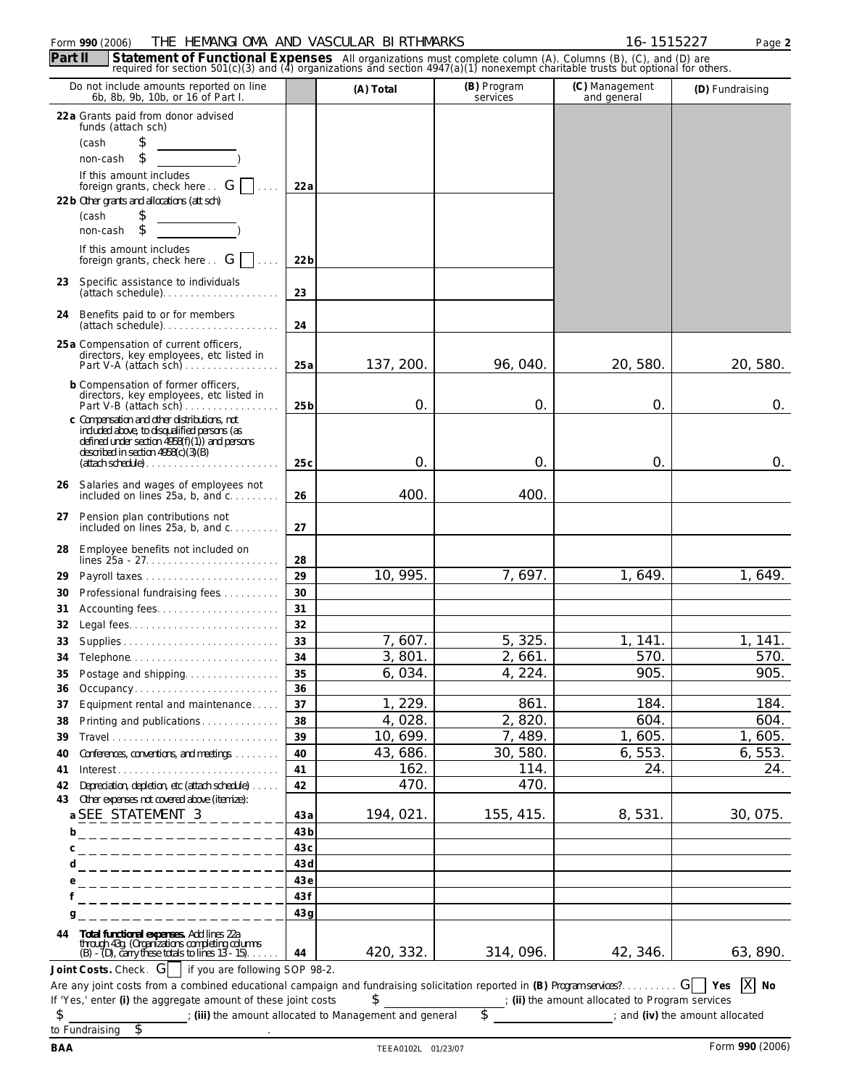### Form **990** (2006) Page **2** THE HEMANGIOMA AND VASCULAR BIRTHMARKS 16-1515227

|          | Do not include amounts reported on line<br>6b, 8b, 9b, 10b, or 16 of Part I.                                                                                                                           |                 | (A) Total        | (B) Program<br>services | (C) Management<br>and general                 | (D) Fundraising |
|----------|--------------------------------------------------------------------------------------------------------------------------------------------------------------------------------------------------------|-----------------|------------------|-------------------------|-----------------------------------------------|-----------------|
|          | 22 a Grants paid from donor advised                                                                                                                                                                    |                 |                  |                         |                                               |                 |
|          | funds (attach sch)<br>\$                                                                                                                                                                               |                 |                  |                         |                                               |                 |
|          | (cash<br>\$                                                                                                                                                                                            |                 |                  |                         |                                               |                 |
|          | non-cash<br>If this amount includes                                                                                                                                                                    |                 |                  |                         |                                               |                 |
|          | foreign grants, check here $\overline{\phantom{a}}$ G                                                                                                                                                  | 22a             |                  |                         |                                               |                 |
|          | 22 b Other grants and allocations (att sch)                                                                                                                                                            |                 |                  |                         |                                               |                 |
|          | \$<br>(cash                                                                                                                                                                                            |                 |                  |                         |                                               |                 |
|          | \$<br>non-cash                                                                                                                                                                                         |                 |                  |                         |                                               |                 |
|          | If this amount includes<br>foreign grants, check here $\therefore$ G<br>$\sim$                                                                                                                         | 22 <sub>b</sub> |                  |                         |                                               |                 |
| 23       | Specific assistance to individuals<br>(attach schedule)                                                                                                                                                | 23              |                  |                         |                                               |                 |
| 24       | Benefits paid to or for members<br>$(attach schedule) \ldots \ldots \ldots \ldots \ldots \ldots$                                                                                                       | 24              |                  |                         |                                               |                 |
|          | 25 a Compensation of current officers,<br>directors, key employees, etc listed in                                                                                                                      |                 |                  |                         |                                               |                 |
|          | Part V-A (attach sch)                                                                                                                                                                                  | 25a             | 137, 200.        | 96, 040.                | 20, 580.                                      | 20, 580.        |
|          | b Compensation of former officers,                                                                                                                                                                     |                 |                  |                         |                                               |                 |
|          | directors, key employees, etc listed in<br>Part V-B (attach sch)                                                                                                                                       | 25 <sub>b</sub> | 0.               | 0.                      | 0.                                            | 0.              |
|          | c Compensation and other distributions, not<br>included above, to disqualified persons (as                                                                                                             |                 |                  |                         |                                               |                 |
|          | defined under section $4958(f)(1)$ ) and persons<br>described in section $4958(c)(3)(B)$                                                                                                               |                 |                  |                         |                                               |                 |
|          | $(attach schedule) \ldots \ldots \ldots \ldots \ldots \ldots \ldots$                                                                                                                                   | 25c             | 0.               | 0.                      | $\mathbf{O}$ .                                | 0.              |
|          | 26 Salaries and wages of employees not<br>included on lines $25a$ , b, and $c$                                                                                                                         | 26              | 400.             | 400.                    |                                               |                 |
| 27       | Pension plan contributions not<br>included on lines $25a$ , b, and $c$                                                                                                                                 | 27              |                  |                         |                                               |                 |
|          |                                                                                                                                                                                                        |                 |                  |                         |                                               |                 |
| 28       | Employee benefits not included on<br>lines $25a - 27$                                                                                                                                                  | 28              |                  |                         |                                               |                 |
| 29       |                                                                                                                                                                                                        | 29              | 10, 995.         | 7,697.                  | 1,649.                                        | 1, 649.         |
| 30       | Professional fundraising fees                                                                                                                                                                          | 30              |                  |                         |                                               |                 |
| 31       |                                                                                                                                                                                                        | 31              |                  |                         |                                               |                 |
| 32       |                                                                                                                                                                                                        | 32              |                  |                         |                                               |                 |
| 33       | Supplies                                                                                                                                                                                               | 33              | 7,607.           | 5, 325.                 | 1, 141.                                       | 1, 141.         |
| 34       | Telephone                                                                                                                                                                                              | 34              | 3,801.           | 2,661.                  | 570.                                          | 570.            |
| 35       | Postage and shipping                                                                                                                                                                                   | 35              | 6,034.           | 4, 224.                 | 905.                                          | 905.            |
| 36       | Occupancy                                                                                                                                                                                              | 36              |                  |                         |                                               |                 |
| 37       | Equipment rental and maintenance                                                                                                                                                                       | 37              | 1, 229.          | 861.                    | 184.                                          | 184.            |
| 38       | Printing and publications                                                                                                                                                                              | 38              | 4,028.           | 2,820.                  | 604.                                          | 604.            |
| 39       |                                                                                                                                                                                                        | 39              | 10, 699.         | 7,489.<br>30, 580.      | 1,605.<br>6, 553.                             | 1,605.          |
| 40       | Conferences, conventions, and meetings.<br>Interest                                                                                                                                                    | 40<br>41        | 43, 686.<br>162. | 114.                    | 24.                                           | 6, 553.<br>24.  |
| 41<br>42 | Depreciation, depletion, etc (attach schedule)                                                                                                                                                         | 42              | 470.             | 470.                    |                                               |                 |
| 43       | Other expenses not covered above (itemize):                                                                                                                                                            |                 |                  |                         |                                               |                 |
|          | a SEE STATEMENT $3_{---}$                                                                                                                                                                              | 43a             | 194, 021.        | 155, 415.               | 8,531.                                        | 30, 075.        |
|          | <u>b____________________</u>                                                                                                                                                                           | 43 <sub>b</sub> |                  |                         |                                               |                 |
|          | c_____________________                                                                                                                                                                                 | 43c             |                  |                         |                                               |                 |
|          | <sup>d</sup> _____________________                                                                                                                                                                     | 43d             |                  |                         |                                               |                 |
|          | e_____________________                                                                                                                                                                                 | 43e             |                  |                         |                                               |                 |
|          | ___________________                                                                                                                                                                                    | 43f             |                  |                         |                                               |                 |
|          | g<br>________________                                                                                                                                                                                  | 43q             |                  |                         |                                               |                 |
| 44       | Total functional expenses. Add lines 22a<br>through 43g. (Organizations completing columns<br>(B) - (D), carry these totals to lines 13 - 15)                                                          | 44              | 420, 332.        | 314, 096.               | 42, 346.                                      | 63, 890.        |
|          | Joint Costs. Check. $G$   if you are following SOP 98-2.                                                                                                                                               |                 |                  |                         |                                               |                 |
|          | Are any joint costs from a combined educational campaign and fundraising solicitation reported in (B) Program services? $G \mid Y$ es<br>If 'Yes,' enter (i) the aggregate amount of these joint costs |                 |                  |                         |                                               | $X$ No          |
|          |                                                                                                                                                                                                        |                 | \$               | $\overline{\mathsf{s}}$ | (ii) the amount allocated to Program services |                 |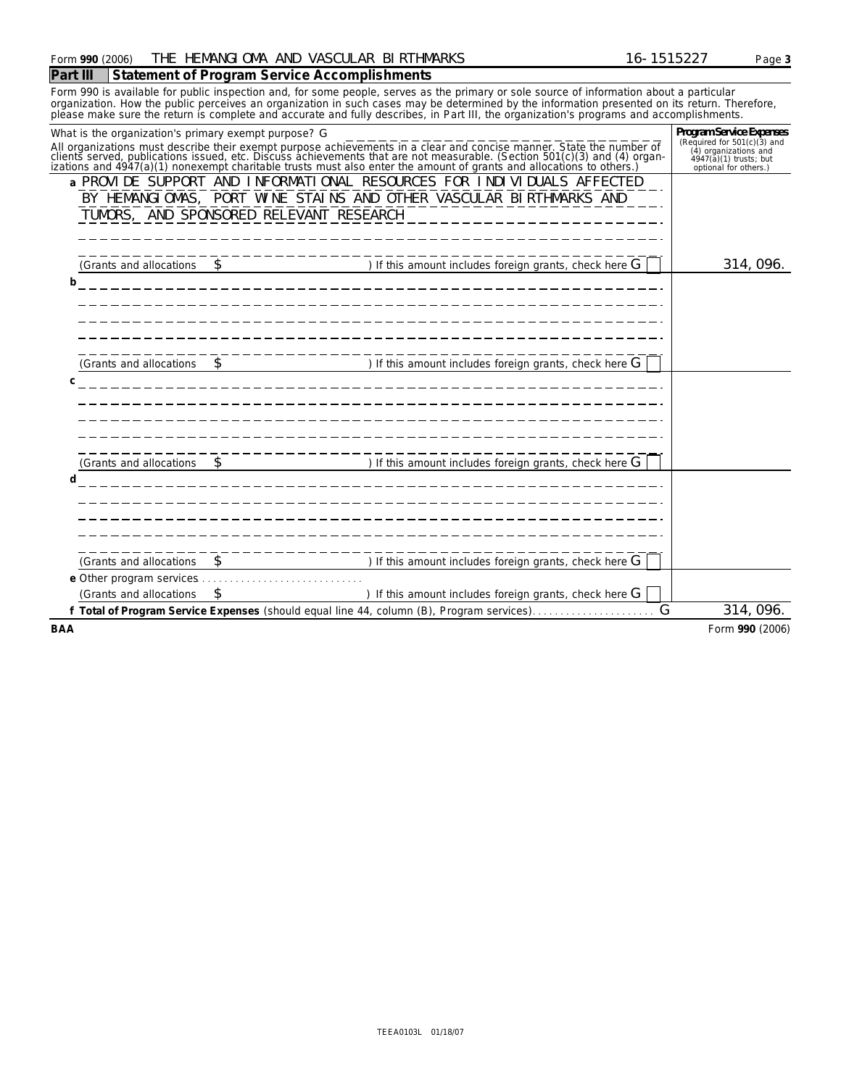| VASCULAR<br><b>BI RTHMARKS</b><br>$A = 0.0 -$<br><b>HEMANGI OMA</b><br>and<br>THE<br>990(2006)<br>$-$<br>. .<br>Form<br>. n.<br>. . | Page J |
|-------------------------------------------------------------------------------------------------------------------------------------|--------|
|-------------------------------------------------------------------------------------------------------------------------------------|--------|

### **Part III Statement of Program Service Accomplishments**

Form 990 is available for public inspection and, for some people, serves as the primary or sole source of information about a particular organization. How the public perceives an organization in such cases may be determined by the information presented on its return. Therefore,<br>please make sure the return is complete and accurate and fully describes, in Par

| What is the organization's primary exempt purpose? G |                                         |                                                                                                                                                                                                                               | Program Service Expenses                                                         |
|------------------------------------------------------|-----------------------------------------|-------------------------------------------------------------------------------------------------------------------------------------------------------------------------------------------------------------------------------|----------------------------------------------------------------------------------|
|                                                      |                                         | All organizations must describe their exempt purpose achievements in a clear and concise manner. State the number of clients served, publications issued, etc. Discuss achievements that are not measurable. (Section 501(c)( | (Required for $501(c)(3)$ and<br>(4) organizations and<br>4947(a)(1) trusts; but |
|                                                      |                                         |                                                                                                                                                                                                                               | optional for others.)                                                            |
|                                                      |                                         | a PROVIDE SUPPORT AND INFORMATIONAL RESOURCES FOR INDIVIDUALS AFFECTED                                                                                                                                                        |                                                                                  |
|                                                      |                                         | BY HEMANGIOMAS, PORT WINE STAINS AND OTHER VASCULAR BIRTHMARKS AND                                                                                                                                                            |                                                                                  |
|                                                      | TUMORS, AND SPONSORED RELEVANT RESEARCH |                                                                                                                                                                                                                               |                                                                                  |
|                                                      |                                         |                                                                                                                                                                                                                               |                                                                                  |
|                                                      |                                         |                                                                                                                                                                                                                               |                                                                                  |
| (Grants and allocations                              |                                         | $\blacksquare$ ) If this amount includes foreign grants, check here G                                                                                                                                                         | 314, 096.                                                                        |
| b                                                    |                                         |                                                                                                                                                                                                                               |                                                                                  |
|                                                      |                                         |                                                                                                                                                                                                                               |                                                                                  |
|                                                      |                                         |                                                                                                                                                                                                                               |                                                                                  |
|                                                      |                                         |                                                                                                                                                                                                                               |                                                                                  |
|                                                      |                                         |                                                                                                                                                                                                                               |                                                                                  |
| (Grants and allocations \$                           |                                         | (1) If this amount includes foreign grants, check here G                                                                                                                                                                      |                                                                                  |
| C                                                    |                                         |                                                                                                                                                                                                                               |                                                                                  |
|                                                      |                                         |                                                                                                                                                                                                                               |                                                                                  |
|                                                      |                                         |                                                                                                                                                                                                                               |                                                                                  |
|                                                      |                                         |                                                                                                                                                                                                                               |                                                                                  |
|                                                      |                                         |                                                                                                                                                                                                                               |                                                                                  |
| (Grants and allocations                              |                                         | $\begin{array}{c} \begin{array}{c} \end{array}$ ) If this amount includes foreign grants, check here G                                                                                                                        |                                                                                  |
| d                                                    |                                         |                                                                                                                                                                                                                               |                                                                                  |
|                                                      |                                         |                                                                                                                                                                                                                               |                                                                                  |
|                                                      |                                         |                                                                                                                                                                                                                               |                                                                                  |
|                                                      |                                         |                                                                                                                                                                                                                               |                                                                                  |
|                                                      |                                         |                                                                                                                                                                                                                               |                                                                                  |
| (Grants and allocations                              | $\mathcal{S}$                           | ) If this amount includes foreign grants, check here $G$                                                                                                                                                                      |                                                                                  |
|                                                      |                                         |                                                                                                                                                                                                                               |                                                                                  |
| (Grants and allocations                              | \$                                      | ) If this amount includes foreign grants, check here $G$                                                                                                                                                                      |                                                                                  |
|                                                      |                                         | G                                                                                                                                                                                                                             | 314, 096.                                                                        |
| <b>BAA</b>                                           |                                         |                                                                                                                                                                                                                               | Form 990 (2006)                                                                  |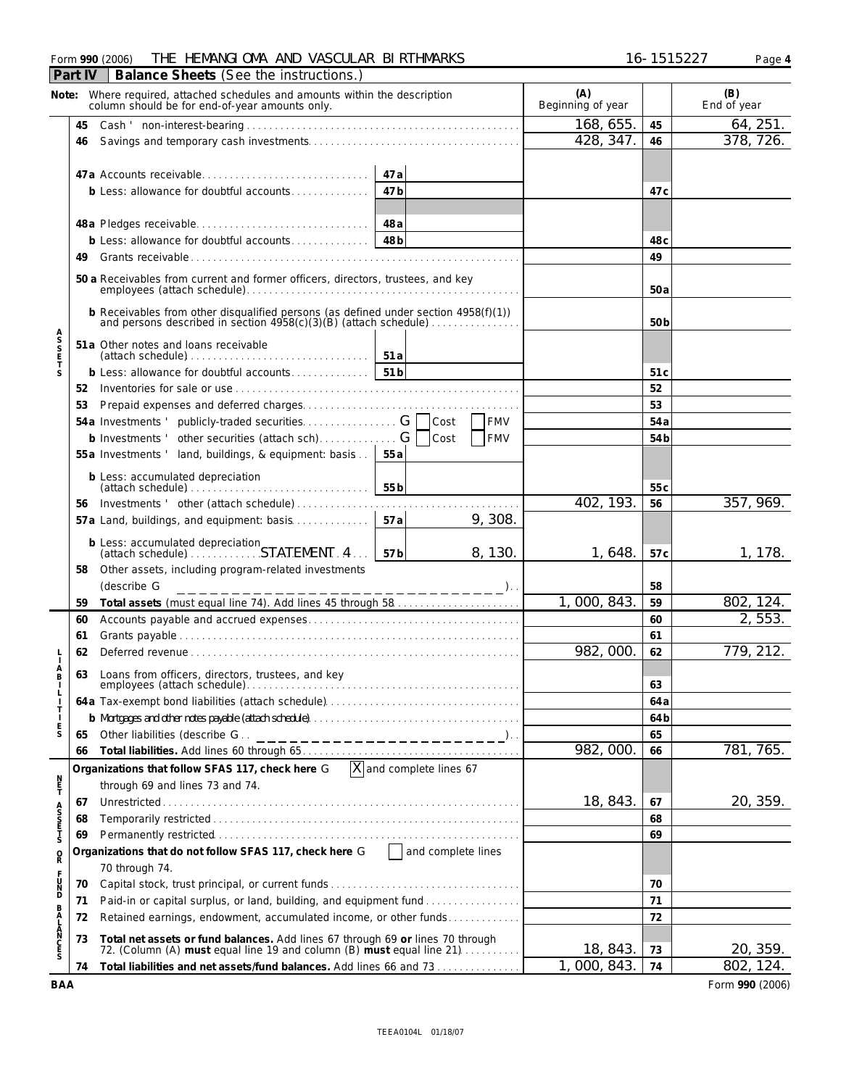| (A)<br>(B)<br>Note: Where required, attached schedules and amounts within the description<br>Beginning of year<br>End of year<br>column should be for end-of-year amounts only.<br>168, 655.<br>64, 251.<br>45<br>45<br>378, 726.<br>428, 347.<br>46<br>46<br>47 a<br>47 <sub>b</sub><br>b Less: allowance for doubtful accounts<br>47 <sub>c</sub><br>48 a<br>48 <sub>b</sub><br>b Less: allowance for doubtful accounts<br>48 <sub>c</sub><br>49<br>49<br>50 a Receivables from current and former officers, directors, trustees, and key<br>50a<br>b Receivables from other disqualified persons (as defined under section 4958(f)(1))<br>and persons described in section 4958(c)(3)(B) (attach schedule)<br>50b<br>A<br>S<br>S<br>E<br>T<br>51a Other notes and loans receivable<br>51a<br>$(attach schedule) \ldots \ldots \ldots \ldots \ldots \ldots \ldots \ldots$<br>51 <sub>b</sub><br>b Less: allowance for doubtful accounts<br>S<br>51c<br>52<br>52<br>53<br>53<br><b>FMV</b><br>54a<br>Cost<br>b Investments ' other securities (attach sch) G<br><b>FMV</b><br>Cost<br>54 <sub>b</sub><br>55a Investments ' land, buildings, & equipment: basis<br>55 a<br>b Less: accumulated depreciation<br>55b<br>55c<br>402, 193.<br>357, 969.<br>56<br>Investments ' other (attach schedule)<br>56<br>9, 308.<br>57a Land, buildings, and equipment: basis<br>57 a<br>b Less: accumulated depreciation<br>(attach schedule) STATEMENT. 4<br>8, 130.<br>1,648.<br>1, 178.<br>57b<br>57 <sub>c</sub><br>Other assets, including program-related investments<br>58<br>(describe G<br>58<br>$\cdot$ ).<br>802, 124.<br>1,000,843<br>59<br>59<br>2, 553.<br>60<br>60<br>61<br>61<br>982,000<br>779, 212.<br>62<br>62<br>A<br>B<br>Loans from officers, directors, trustees, and key<br>63<br>employees (attach schedule)<br>63<br>64 a<br>64 b<br>E<br>S<br>65<br>Other liabilities (describe G<br>65<br>________________________ <sup>)</sup><br>982,000<br>781, 765.<br>66<br>66<br>$\overline{X}$ and complete lines 67<br>Organizations that follow SFAS 117, check here G<br>n<br>F<br>through 69 and lines 73 and 74.<br>18, 843.<br>20, 359.<br>67<br>67<br>A<br>S<br>S<br>T<br>S<br>68<br>68<br>69<br>69<br>Organizations that do not follow SFAS 117, check here G   and complete lines<br>Q<br>70 through 74.<br><b>UND</b><br>70<br>70<br>71<br>Paid-in or capital surplus, or land, building, and equipment fund<br>71<br>BALANCES<br>72<br>Retained earnings, endowment, accumulated income, or other funds<br>72<br>Total net assets or fund balances. Add lines 67 through 69 or lines 70 through<br>73<br>18, 843.<br>20, 359.<br>72. (Column (A) must equal line 19 and column (B) must equal line 21)<br>73<br>1,000,843.<br>802, 124.<br>74<br>Total liabilities and net assets/fund balances. Add lines 66 and 73<br>74 | Balance Sheets (See the instructions.)<br>Part IV |  |  |  |  |  |  |  |  |  |
|----------------------------------------------------------------------------------------------------------------------------------------------------------------------------------------------------------------------------------------------------------------------------------------------------------------------------------------------------------------------------------------------------------------------------------------------------------------------------------------------------------------------------------------------------------------------------------------------------------------------------------------------------------------------------------------------------------------------------------------------------------------------------------------------------------------------------------------------------------------------------------------------------------------------------------------------------------------------------------------------------------------------------------------------------------------------------------------------------------------------------------------------------------------------------------------------------------------------------------------------------------------------------------------------------------------------------------------------------------------------------------------------------------------------------------------------------------------------------------------------------------------------------------------------------------------------------------------------------------------------------------------------------------------------------------------------------------------------------------------------------------------------------------------------------------------------------------------------------------------------------------------------------------------------------------------------------------------------------------------------------------------------------------------------------------------------------------------------------------------------------------------------------------------------------------------------------------------------------------------------------------------------------------------------------------------------------------------------------------------------------------------------------------------------------------------------------------------------------------------------------------------------------------------------------------------------------------------------------------------------------------------------------------------------------------------------------------------------------------------------------------------------------------------------------------------------------------------------|---------------------------------------------------|--|--|--|--|--|--|--|--|--|
|                                                                                                                                                                                                                                                                                                                                                                                                                                                                                                                                                                                                                                                                                                                                                                                                                                                                                                                                                                                                                                                                                                                                                                                                                                                                                                                                                                                                                                                                                                                                                                                                                                                                                                                                                                                                                                                                                                                                                                                                                                                                                                                                                                                                                                                                                                                                                                                                                                                                                                                                                                                                                                                                                                                                                                                                                                              |                                                   |  |  |  |  |  |  |  |  |  |
|                                                                                                                                                                                                                                                                                                                                                                                                                                                                                                                                                                                                                                                                                                                                                                                                                                                                                                                                                                                                                                                                                                                                                                                                                                                                                                                                                                                                                                                                                                                                                                                                                                                                                                                                                                                                                                                                                                                                                                                                                                                                                                                                                                                                                                                                                                                                                                                                                                                                                                                                                                                                                                                                                                                                                                                                                                              |                                                   |  |  |  |  |  |  |  |  |  |
|                                                                                                                                                                                                                                                                                                                                                                                                                                                                                                                                                                                                                                                                                                                                                                                                                                                                                                                                                                                                                                                                                                                                                                                                                                                                                                                                                                                                                                                                                                                                                                                                                                                                                                                                                                                                                                                                                                                                                                                                                                                                                                                                                                                                                                                                                                                                                                                                                                                                                                                                                                                                                                                                                                                                                                                                                                              |                                                   |  |  |  |  |  |  |  |  |  |
|                                                                                                                                                                                                                                                                                                                                                                                                                                                                                                                                                                                                                                                                                                                                                                                                                                                                                                                                                                                                                                                                                                                                                                                                                                                                                                                                                                                                                                                                                                                                                                                                                                                                                                                                                                                                                                                                                                                                                                                                                                                                                                                                                                                                                                                                                                                                                                                                                                                                                                                                                                                                                                                                                                                                                                                                                                              |                                                   |  |  |  |  |  |  |  |  |  |
|                                                                                                                                                                                                                                                                                                                                                                                                                                                                                                                                                                                                                                                                                                                                                                                                                                                                                                                                                                                                                                                                                                                                                                                                                                                                                                                                                                                                                                                                                                                                                                                                                                                                                                                                                                                                                                                                                                                                                                                                                                                                                                                                                                                                                                                                                                                                                                                                                                                                                                                                                                                                                                                                                                                                                                                                                                              |                                                   |  |  |  |  |  |  |  |  |  |
|                                                                                                                                                                                                                                                                                                                                                                                                                                                                                                                                                                                                                                                                                                                                                                                                                                                                                                                                                                                                                                                                                                                                                                                                                                                                                                                                                                                                                                                                                                                                                                                                                                                                                                                                                                                                                                                                                                                                                                                                                                                                                                                                                                                                                                                                                                                                                                                                                                                                                                                                                                                                                                                                                                                                                                                                                                              |                                                   |  |  |  |  |  |  |  |  |  |
|                                                                                                                                                                                                                                                                                                                                                                                                                                                                                                                                                                                                                                                                                                                                                                                                                                                                                                                                                                                                                                                                                                                                                                                                                                                                                                                                                                                                                                                                                                                                                                                                                                                                                                                                                                                                                                                                                                                                                                                                                                                                                                                                                                                                                                                                                                                                                                                                                                                                                                                                                                                                                                                                                                                                                                                                                                              |                                                   |  |  |  |  |  |  |  |  |  |
|                                                                                                                                                                                                                                                                                                                                                                                                                                                                                                                                                                                                                                                                                                                                                                                                                                                                                                                                                                                                                                                                                                                                                                                                                                                                                                                                                                                                                                                                                                                                                                                                                                                                                                                                                                                                                                                                                                                                                                                                                                                                                                                                                                                                                                                                                                                                                                                                                                                                                                                                                                                                                                                                                                                                                                                                                                              |                                                   |  |  |  |  |  |  |  |  |  |
|                                                                                                                                                                                                                                                                                                                                                                                                                                                                                                                                                                                                                                                                                                                                                                                                                                                                                                                                                                                                                                                                                                                                                                                                                                                                                                                                                                                                                                                                                                                                                                                                                                                                                                                                                                                                                                                                                                                                                                                                                                                                                                                                                                                                                                                                                                                                                                                                                                                                                                                                                                                                                                                                                                                                                                                                                                              |                                                   |  |  |  |  |  |  |  |  |  |
|                                                                                                                                                                                                                                                                                                                                                                                                                                                                                                                                                                                                                                                                                                                                                                                                                                                                                                                                                                                                                                                                                                                                                                                                                                                                                                                                                                                                                                                                                                                                                                                                                                                                                                                                                                                                                                                                                                                                                                                                                                                                                                                                                                                                                                                                                                                                                                                                                                                                                                                                                                                                                                                                                                                                                                                                                                              |                                                   |  |  |  |  |  |  |  |  |  |
|                                                                                                                                                                                                                                                                                                                                                                                                                                                                                                                                                                                                                                                                                                                                                                                                                                                                                                                                                                                                                                                                                                                                                                                                                                                                                                                                                                                                                                                                                                                                                                                                                                                                                                                                                                                                                                                                                                                                                                                                                                                                                                                                                                                                                                                                                                                                                                                                                                                                                                                                                                                                                                                                                                                                                                                                                                              |                                                   |  |  |  |  |  |  |  |  |  |
|                                                                                                                                                                                                                                                                                                                                                                                                                                                                                                                                                                                                                                                                                                                                                                                                                                                                                                                                                                                                                                                                                                                                                                                                                                                                                                                                                                                                                                                                                                                                                                                                                                                                                                                                                                                                                                                                                                                                                                                                                                                                                                                                                                                                                                                                                                                                                                                                                                                                                                                                                                                                                                                                                                                                                                                                                                              |                                                   |  |  |  |  |  |  |  |  |  |
|                                                                                                                                                                                                                                                                                                                                                                                                                                                                                                                                                                                                                                                                                                                                                                                                                                                                                                                                                                                                                                                                                                                                                                                                                                                                                                                                                                                                                                                                                                                                                                                                                                                                                                                                                                                                                                                                                                                                                                                                                                                                                                                                                                                                                                                                                                                                                                                                                                                                                                                                                                                                                                                                                                                                                                                                                                              |                                                   |  |  |  |  |  |  |  |  |  |
|                                                                                                                                                                                                                                                                                                                                                                                                                                                                                                                                                                                                                                                                                                                                                                                                                                                                                                                                                                                                                                                                                                                                                                                                                                                                                                                                                                                                                                                                                                                                                                                                                                                                                                                                                                                                                                                                                                                                                                                                                                                                                                                                                                                                                                                                                                                                                                                                                                                                                                                                                                                                                                                                                                                                                                                                                                              |                                                   |  |  |  |  |  |  |  |  |  |
|                                                                                                                                                                                                                                                                                                                                                                                                                                                                                                                                                                                                                                                                                                                                                                                                                                                                                                                                                                                                                                                                                                                                                                                                                                                                                                                                                                                                                                                                                                                                                                                                                                                                                                                                                                                                                                                                                                                                                                                                                                                                                                                                                                                                                                                                                                                                                                                                                                                                                                                                                                                                                                                                                                                                                                                                                                              |                                                   |  |  |  |  |  |  |  |  |  |
|                                                                                                                                                                                                                                                                                                                                                                                                                                                                                                                                                                                                                                                                                                                                                                                                                                                                                                                                                                                                                                                                                                                                                                                                                                                                                                                                                                                                                                                                                                                                                                                                                                                                                                                                                                                                                                                                                                                                                                                                                                                                                                                                                                                                                                                                                                                                                                                                                                                                                                                                                                                                                                                                                                                                                                                                                                              |                                                   |  |  |  |  |  |  |  |  |  |
|                                                                                                                                                                                                                                                                                                                                                                                                                                                                                                                                                                                                                                                                                                                                                                                                                                                                                                                                                                                                                                                                                                                                                                                                                                                                                                                                                                                                                                                                                                                                                                                                                                                                                                                                                                                                                                                                                                                                                                                                                                                                                                                                                                                                                                                                                                                                                                                                                                                                                                                                                                                                                                                                                                                                                                                                                                              |                                                   |  |  |  |  |  |  |  |  |  |
|                                                                                                                                                                                                                                                                                                                                                                                                                                                                                                                                                                                                                                                                                                                                                                                                                                                                                                                                                                                                                                                                                                                                                                                                                                                                                                                                                                                                                                                                                                                                                                                                                                                                                                                                                                                                                                                                                                                                                                                                                                                                                                                                                                                                                                                                                                                                                                                                                                                                                                                                                                                                                                                                                                                                                                                                                                              |                                                   |  |  |  |  |  |  |  |  |  |
|                                                                                                                                                                                                                                                                                                                                                                                                                                                                                                                                                                                                                                                                                                                                                                                                                                                                                                                                                                                                                                                                                                                                                                                                                                                                                                                                                                                                                                                                                                                                                                                                                                                                                                                                                                                                                                                                                                                                                                                                                                                                                                                                                                                                                                                                                                                                                                                                                                                                                                                                                                                                                                                                                                                                                                                                                                              |                                                   |  |  |  |  |  |  |  |  |  |
|                                                                                                                                                                                                                                                                                                                                                                                                                                                                                                                                                                                                                                                                                                                                                                                                                                                                                                                                                                                                                                                                                                                                                                                                                                                                                                                                                                                                                                                                                                                                                                                                                                                                                                                                                                                                                                                                                                                                                                                                                                                                                                                                                                                                                                                                                                                                                                                                                                                                                                                                                                                                                                                                                                                                                                                                                                              |                                                   |  |  |  |  |  |  |  |  |  |
|                                                                                                                                                                                                                                                                                                                                                                                                                                                                                                                                                                                                                                                                                                                                                                                                                                                                                                                                                                                                                                                                                                                                                                                                                                                                                                                                                                                                                                                                                                                                                                                                                                                                                                                                                                                                                                                                                                                                                                                                                                                                                                                                                                                                                                                                                                                                                                                                                                                                                                                                                                                                                                                                                                                                                                                                                                              |                                                   |  |  |  |  |  |  |  |  |  |
|                                                                                                                                                                                                                                                                                                                                                                                                                                                                                                                                                                                                                                                                                                                                                                                                                                                                                                                                                                                                                                                                                                                                                                                                                                                                                                                                                                                                                                                                                                                                                                                                                                                                                                                                                                                                                                                                                                                                                                                                                                                                                                                                                                                                                                                                                                                                                                                                                                                                                                                                                                                                                                                                                                                                                                                                                                              |                                                   |  |  |  |  |  |  |  |  |  |
|                                                                                                                                                                                                                                                                                                                                                                                                                                                                                                                                                                                                                                                                                                                                                                                                                                                                                                                                                                                                                                                                                                                                                                                                                                                                                                                                                                                                                                                                                                                                                                                                                                                                                                                                                                                                                                                                                                                                                                                                                                                                                                                                                                                                                                                                                                                                                                                                                                                                                                                                                                                                                                                                                                                                                                                                                                              |                                                   |  |  |  |  |  |  |  |  |  |
|                                                                                                                                                                                                                                                                                                                                                                                                                                                                                                                                                                                                                                                                                                                                                                                                                                                                                                                                                                                                                                                                                                                                                                                                                                                                                                                                                                                                                                                                                                                                                                                                                                                                                                                                                                                                                                                                                                                                                                                                                                                                                                                                                                                                                                                                                                                                                                                                                                                                                                                                                                                                                                                                                                                                                                                                                                              |                                                   |  |  |  |  |  |  |  |  |  |
|                                                                                                                                                                                                                                                                                                                                                                                                                                                                                                                                                                                                                                                                                                                                                                                                                                                                                                                                                                                                                                                                                                                                                                                                                                                                                                                                                                                                                                                                                                                                                                                                                                                                                                                                                                                                                                                                                                                                                                                                                                                                                                                                                                                                                                                                                                                                                                                                                                                                                                                                                                                                                                                                                                                                                                                                                                              |                                                   |  |  |  |  |  |  |  |  |  |
|                                                                                                                                                                                                                                                                                                                                                                                                                                                                                                                                                                                                                                                                                                                                                                                                                                                                                                                                                                                                                                                                                                                                                                                                                                                                                                                                                                                                                                                                                                                                                                                                                                                                                                                                                                                                                                                                                                                                                                                                                                                                                                                                                                                                                                                                                                                                                                                                                                                                                                                                                                                                                                                                                                                                                                                                                                              |                                                   |  |  |  |  |  |  |  |  |  |
|                                                                                                                                                                                                                                                                                                                                                                                                                                                                                                                                                                                                                                                                                                                                                                                                                                                                                                                                                                                                                                                                                                                                                                                                                                                                                                                                                                                                                                                                                                                                                                                                                                                                                                                                                                                                                                                                                                                                                                                                                                                                                                                                                                                                                                                                                                                                                                                                                                                                                                                                                                                                                                                                                                                                                                                                                                              |                                                   |  |  |  |  |  |  |  |  |  |
|                                                                                                                                                                                                                                                                                                                                                                                                                                                                                                                                                                                                                                                                                                                                                                                                                                                                                                                                                                                                                                                                                                                                                                                                                                                                                                                                                                                                                                                                                                                                                                                                                                                                                                                                                                                                                                                                                                                                                                                                                                                                                                                                                                                                                                                                                                                                                                                                                                                                                                                                                                                                                                                                                                                                                                                                                                              |                                                   |  |  |  |  |  |  |  |  |  |
|                                                                                                                                                                                                                                                                                                                                                                                                                                                                                                                                                                                                                                                                                                                                                                                                                                                                                                                                                                                                                                                                                                                                                                                                                                                                                                                                                                                                                                                                                                                                                                                                                                                                                                                                                                                                                                                                                                                                                                                                                                                                                                                                                                                                                                                                                                                                                                                                                                                                                                                                                                                                                                                                                                                                                                                                                                              |                                                   |  |  |  |  |  |  |  |  |  |
|                                                                                                                                                                                                                                                                                                                                                                                                                                                                                                                                                                                                                                                                                                                                                                                                                                                                                                                                                                                                                                                                                                                                                                                                                                                                                                                                                                                                                                                                                                                                                                                                                                                                                                                                                                                                                                                                                                                                                                                                                                                                                                                                                                                                                                                                                                                                                                                                                                                                                                                                                                                                                                                                                                                                                                                                                                              |                                                   |  |  |  |  |  |  |  |  |  |
|                                                                                                                                                                                                                                                                                                                                                                                                                                                                                                                                                                                                                                                                                                                                                                                                                                                                                                                                                                                                                                                                                                                                                                                                                                                                                                                                                                                                                                                                                                                                                                                                                                                                                                                                                                                                                                                                                                                                                                                                                                                                                                                                                                                                                                                                                                                                                                                                                                                                                                                                                                                                                                                                                                                                                                                                                                              |                                                   |  |  |  |  |  |  |  |  |  |
|                                                                                                                                                                                                                                                                                                                                                                                                                                                                                                                                                                                                                                                                                                                                                                                                                                                                                                                                                                                                                                                                                                                                                                                                                                                                                                                                                                                                                                                                                                                                                                                                                                                                                                                                                                                                                                                                                                                                                                                                                                                                                                                                                                                                                                                                                                                                                                                                                                                                                                                                                                                                                                                                                                                                                                                                                                              |                                                   |  |  |  |  |  |  |  |  |  |
|                                                                                                                                                                                                                                                                                                                                                                                                                                                                                                                                                                                                                                                                                                                                                                                                                                                                                                                                                                                                                                                                                                                                                                                                                                                                                                                                                                                                                                                                                                                                                                                                                                                                                                                                                                                                                                                                                                                                                                                                                                                                                                                                                                                                                                                                                                                                                                                                                                                                                                                                                                                                                                                                                                                                                                                                                                              |                                                   |  |  |  |  |  |  |  |  |  |
|                                                                                                                                                                                                                                                                                                                                                                                                                                                                                                                                                                                                                                                                                                                                                                                                                                                                                                                                                                                                                                                                                                                                                                                                                                                                                                                                                                                                                                                                                                                                                                                                                                                                                                                                                                                                                                                                                                                                                                                                                                                                                                                                                                                                                                                                                                                                                                                                                                                                                                                                                                                                                                                                                                                                                                                                                                              |                                                   |  |  |  |  |  |  |  |  |  |
|                                                                                                                                                                                                                                                                                                                                                                                                                                                                                                                                                                                                                                                                                                                                                                                                                                                                                                                                                                                                                                                                                                                                                                                                                                                                                                                                                                                                                                                                                                                                                                                                                                                                                                                                                                                                                                                                                                                                                                                                                                                                                                                                                                                                                                                                                                                                                                                                                                                                                                                                                                                                                                                                                                                                                                                                                                              |                                                   |  |  |  |  |  |  |  |  |  |
|                                                                                                                                                                                                                                                                                                                                                                                                                                                                                                                                                                                                                                                                                                                                                                                                                                                                                                                                                                                                                                                                                                                                                                                                                                                                                                                                                                                                                                                                                                                                                                                                                                                                                                                                                                                                                                                                                                                                                                                                                                                                                                                                                                                                                                                                                                                                                                                                                                                                                                                                                                                                                                                                                                                                                                                                                                              |                                                   |  |  |  |  |  |  |  |  |  |
|                                                                                                                                                                                                                                                                                                                                                                                                                                                                                                                                                                                                                                                                                                                                                                                                                                                                                                                                                                                                                                                                                                                                                                                                                                                                                                                                                                                                                                                                                                                                                                                                                                                                                                                                                                                                                                                                                                                                                                                                                                                                                                                                                                                                                                                                                                                                                                                                                                                                                                                                                                                                                                                                                                                                                                                                                                              |                                                   |  |  |  |  |  |  |  |  |  |
|                                                                                                                                                                                                                                                                                                                                                                                                                                                                                                                                                                                                                                                                                                                                                                                                                                                                                                                                                                                                                                                                                                                                                                                                                                                                                                                                                                                                                                                                                                                                                                                                                                                                                                                                                                                                                                                                                                                                                                                                                                                                                                                                                                                                                                                                                                                                                                                                                                                                                                                                                                                                                                                                                                                                                                                                                                              |                                                   |  |  |  |  |  |  |  |  |  |
|                                                                                                                                                                                                                                                                                                                                                                                                                                                                                                                                                                                                                                                                                                                                                                                                                                                                                                                                                                                                                                                                                                                                                                                                                                                                                                                                                                                                                                                                                                                                                                                                                                                                                                                                                                                                                                                                                                                                                                                                                                                                                                                                                                                                                                                                                                                                                                                                                                                                                                                                                                                                                                                                                                                                                                                                                                              |                                                   |  |  |  |  |  |  |  |  |  |
|                                                                                                                                                                                                                                                                                                                                                                                                                                                                                                                                                                                                                                                                                                                                                                                                                                                                                                                                                                                                                                                                                                                                                                                                                                                                                                                                                                                                                                                                                                                                                                                                                                                                                                                                                                                                                                                                                                                                                                                                                                                                                                                                                                                                                                                                                                                                                                                                                                                                                                                                                                                                                                                                                                                                                                                                                                              |                                                   |  |  |  |  |  |  |  |  |  |
|                                                                                                                                                                                                                                                                                                                                                                                                                                                                                                                                                                                                                                                                                                                                                                                                                                                                                                                                                                                                                                                                                                                                                                                                                                                                                                                                                                                                                                                                                                                                                                                                                                                                                                                                                                                                                                                                                                                                                                                                                                                                                                                                                                                                                                                                                                                                                                                                                                                                                                                                                                                                                                                                                                                                                                                                                                              |                                                   |  |  |  |  |  |  |  |  |  |
|                                                                                                                                                                                                                                                                                                                                                                                                                                                                                                                                                                                                                                                                                                                                                                                                                                                                                                                                                                                                                                                                                                                                                                                                                                                                                                                                                                                                                                                                                                                                                                                                                                                                                                                                                                                                                                                                                                                                                                                                                                                                                                                                                                                                                                                                                                                                                                                                                                                                                                                                                                                                                                                                                                                                                                                                                                              |                                                   |  |  |  |  |  |  |  |  |  |
|                                                                                                                                                                                                                                                                                                                                                                                                                                                                                                                                                                                                                                                                                                                                                                                                                                                                                                                                                                                                                                                                                                                                                                                                                                                                                                                                                                                                                                                                                                                                                                                                                                                                                                                                                                                                                                                                                                                                                                                                                                                                                                                                                                                                                                                                                                                                                                                                                                                                                                                                                                                                                                                                                                                                                                                                                                              |                                                   |  |  |  |  |  |  |  |  |  |
|                                                                                                                                                                                                                                                                                                                                                                                                                                                                                                                                                                                                                                                                                                                                                                                                                                                                                                                                                                                                                                                                                                                                                                                                                                                                                                                                                                                                                                                                                                                                                                                                                                                                                                                                                                                                                                                                                                                                                                                                                                                                                                                                                                                                                                                                                                                                                                                                                                                                                                                                                                                                                                                                                                                                                                                                                                              |                                                   |  |  |  |  |  |  |  |  |  |
|                                                                                                                                                                                                                                                                                                                                                                                                                                                                                                                                                                                                                                                                                                                                                                                                                                                                                                                                                                                                                                                                                                                                                                                                                                                                                                                                                                                                                                                                                                                                                                                                                                                                                                                                                                                                                                                                                                                                                                                                                                                                                                                                                                                                                                                                                                                                                                                                                                                                                                                                                                                                                                                                                                                                                                                                                                              |                                                   |  |  |  |  |  |  |  |  |  |
|                                                                                                                                                                                                                                                                                                                                                                                                                                                                                                                                                                                                                                                                                                                                                                                                                                                                                                                                                                                                                                                                                                                                                                                                                                                                                                                                                                                                                                                                                                                                                                                                                                                                                                                                                                                                                                                                                                                                                                                                                                                                                                                                                                                                                                                                                                                                                                                                                                                                                                                                                                                                                                                                                                                                                                                                                                              |                                                   |  |  |  |  |  |  |  |  |  |
|                                                                                                                                                                                                                                                                                                                                                                                                                                                                                                                                                                                                                                                                                                                                                                                                                                                                                                                                                                                                                                                                                                                                                                                                                                                                                                                                                                                                                                                                                                                                                                                                                                                                                                                                                                                                                                                                                                                                                                                                                                                                                                                                                                                                                                                                                                                                                                                                                                                                                                                                                                                                                                                                                                                                                                                                                                              |                                                   |  |  |  |  |  |  |  |  |  |

**BAA** Form **990** (2006)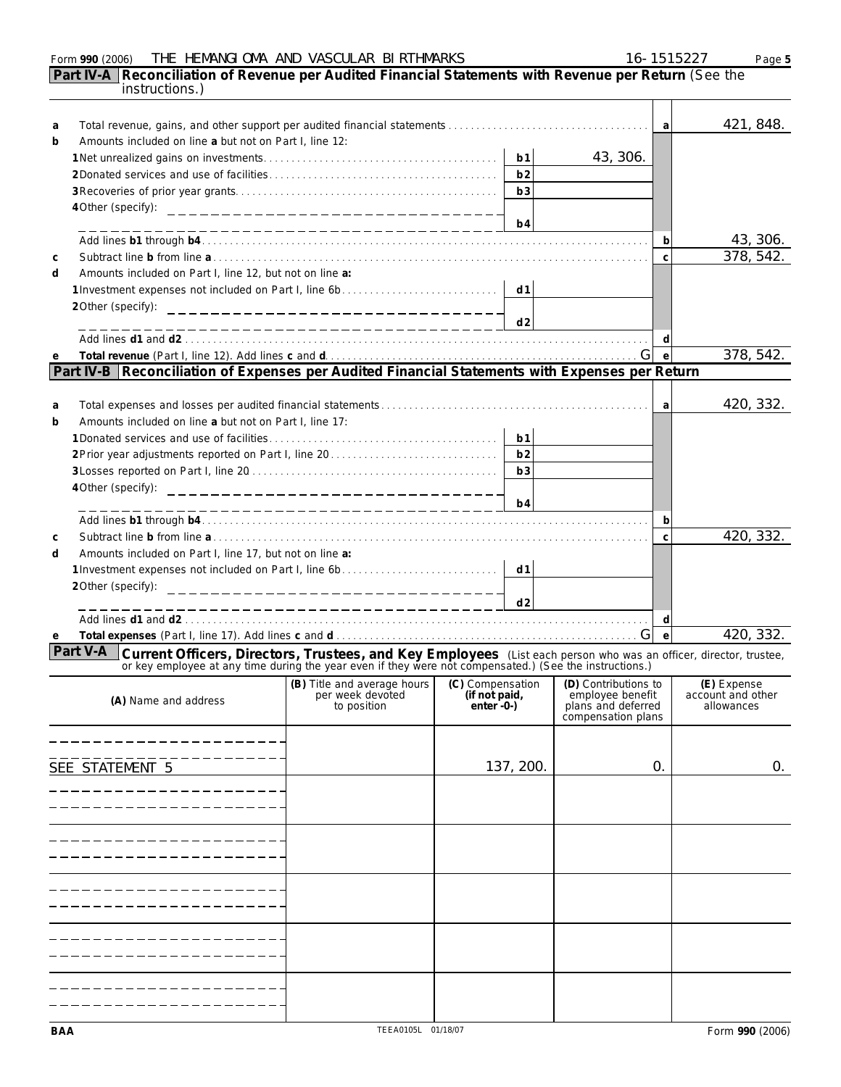|             | Form 990 (2006)                                                                                                                                                                                                                       | THE HEMANGIOMA AND VASCULAR BIRTHMARKS                         |                                                   |                | 16-1515227                                                                           |                | Page 5                                         |
|-------------|---------------------------------------------------------------------------------------------------------------------------------------------------------------------------------------------------------------------------------------|----------------------------------------------------------------|---------------------------------------------------|----------------|--------------------------------------------------------------------------------------|----------------|------------------------------------------------|
|             | Part IV-A Reconciliation of Revenue per Audited Financial Statements with Revenue per Return (See the<br>instructions.)                                                                                                               |                                                                |                                                   |                |                                                                                      |                |                                                |
| a<br>b      | Amounts included on line a but not on Part I, line 12:                                                                                                                                                                                |                                                                |                                                   |                |                                                                                      | a              | 421, 848.                                      |
|             |                                                                                                                                                                                                                                       |                                                                |                                                   | b <sub>1</sub> | 43, 306.                                                                             |                |                                                |
|             |                                                                                                                                                                                                                                       |                                                                |                                                   | b2             |                                                                                      |                |                                                |
|             |                                                                                                                                                                                                                                       |                                                                |                                                   | b3             |                                                                                      |                |                                                |
|             | 4 Other (specify):                                                                                                                                                                                                                    | ___________________________________                            |                                                   |                |                                                                                      |                |                                                |
|             |                                                                                                                                                                                                                                       |                                                                |                                                   | b4             |                                                                                      |                |                                                |
|             |                                                                                                                                                                                                                                       |                                                                |                                                   |                |                                                                                      | b              | 43, 306.                                       |
| $\mathsf C$ |                                                                                                                                                                                                                                       |                                                                |                                                   |                |                                                                                      | $\mathsf{C}$   | 378, 542.                                      |
| d           | Amounts included on Part I, line 12, but not on line a:                                                                                                                                                                               |                                                                |                                                   | d1             |                                                                                      |                |                                                |
|             | 1 Investment expenses not included on Part I, line 6b<br>2Other (specify):                                                                                                                                                            |                                                                |                                                   |                |                                                                                      |                |                                                |
|             |                                                                                                                                                                                                                                       | _________________________________                              |                                                   | d2             |                                                                                      |                |                                                |
|             |                                                                                                                                                                                                                                       | ____________________________                                   |                                                   |                |                                                                                      | d              |                                                |
| е           |                                                                                                                                                                                                                                       |                                                                |                                                   |                |                                                                                      | $\mathsf{e}$   | 378, 542.                                      |
|             | Part IV-B Reconciliation of Expenses per Audited Financial Statements with Expenses per Return                                                                                                                                        |                                                                |                                                   |                |                                                                                      |                |                                                |
|             |                                                                                                                                                                                                                                       |                                                                |                                                   |                |                                                                                      |                |                                                |
| a           |                                                                                                                                                                                                                                       |                                                                |                                                   |                |                                                                                      | a              | 420, 332.                                      |
| b           | Amounts included on line a but not on Part I, line 17:                                                                                                                                                                                |                                                                |                                                   |                |                                                                                      |                |                                                |
|             |                                                                                                                                                                                                                                       |                                                                |                                                   | b <sub>1</sub> |                                                                                      |                |                                                |
|             |                                                                                                                                                                                                                                       |                                                                |                                                   | b2             |                                                                                      |                |                                                |
|             | b3                                                                                                                                                                                                                                    |                                                                |                                                   |                |                                                                                      |                |                                                |
|             | 4 Other (specify):                                                                                                                                                                                                                    | _________________________________                              |                                                   | b4             |                                                                                      |                |                                                |
|             |                                                                                                                                                                                                                                       | ---------------------------                                    |                                                   |                |                                                                                      | b              |                                                |
| $\mathsf C$ |                                                                                                                                                                                                                                       |                                                                |                                                   |                |                                                                                      | $\mathsf{C}$   | 420, 332.                                      |
| d           | Amounts included on Part I, line 17, but not on line a:                                                                                                                                                                               |                                                                |                                                   |                |                                                                                      |                |                                                |
|             | d1<br>1 Investment expenses not included on Part I, line 6b                                                                                                                                                                           |                                                                |                                                   |                |                                                                                      |                |                                                |
|             | 2 Other (specify):<br>________________________________                                                                                                                                                                                |                                                                |                                                   |                |                                                                                      |                |                                                |
|             |                                                                                                                                                                                                                                       | ____________________________                                   |                                                   | d2             |                                                                                      |                |                                                |
|             |                                                                                                                                                                                                                                       |                                                                |                                                   |                |                                                                                      | d              |                                                |
| е           |                                                                                                                                                                                                                                       |                                                                |                                                   |                |                                                                                      | $\mathsf{e}$   | 420, 332.                                      |
|             | Part V-A<br>Current Officers, Directors, Trustees, and Key Employees (List each person who was an officer, director, trustee, or key employee at any time during the year even if they were not compensated.) (See the instructions.) |                                                                |                                                   |                |                                                                                      |                |                                                |
|             | (A) Name and address                                                                                                                                                                                                                  | (B) Title and average hours<br>per week devoted<br>to position | (C) Compensation<br>(if not paid,<br>$enter - 0-$ |                | (D) Contributions to<br>employee benefit<br>plans and deferred<br>compensation plans |                | (E) Expense<br>account and other<br>allowances |
|             |                                                                                                                                                                                                                                       |                                                                |                                                   |                |                                                                                      |                |                                                |
|             | SEE STATEMENT 5                                                                                                                                                                                                                       |                                                                |                                                   | 137, 200.      |                                                                                      | $\mathbf{O}$ . | 0.                                             |
|             |                                                                                                                                                                                                                                       |                                                                |                                                   |                |                                                                                      |                |                                                |
|             |                                                                                                                                                                                                                                       |                                                                |                                                   |                |                                                                                      |                |                                                |
|             |                                                                                                                                                                                                                                       |                                                                |                                                   |                |                                                                                      |                |                                                |
|             |                                                                                                                                                                                                                                       |                                                                |                                                   |                |                                                                                      |                |                                                |
|             |                                                                                                                                                                                                                                       |                                                                |                                                   |                |                                                                                      |                |                                                |
|             |                                                                                                                                                                                                                                       |                                                                |                                                   |                |                                                                                      |                |                                                |
|             |                                                                                                                                                                                                                                       |                                                                |                                                   |                |                                                                                      |                |                                                |
|             |                                                                                                                                                                                                                                       |                                                                |                                                   |                |                                                                                      |                |                                                |
|             |                                                                                                                                                                                                                                       |                                                                |                                                   |                |                                                                                      |                |                                                |
|             |                                                                                                                                                                                                                                       |                                                                |                                                   |                |                                                                                      |                |                                                |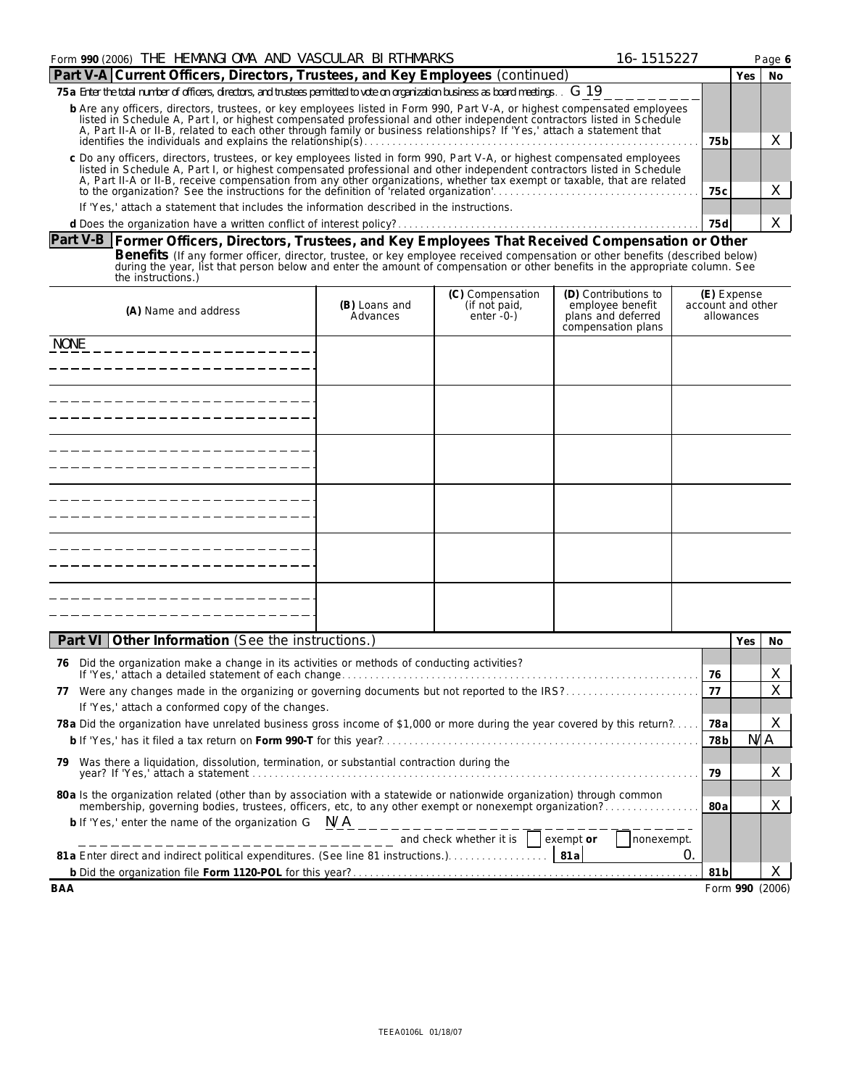| Form 990 (2006) THE HEMANGIOMA AND VASCULAR BIRTHMARKS<br>16-1515227                                                                                                                                                                                                                                                                                                          |      |  |        |  |  |
|-------------------------------------------------------------------------------------------------------------------------------------------------------------------------------------------------------------------------------------------------------------------------------------------------------------------------------------------------------------------------------|------|--|--------|--|--|
| Part V-A Current Officers, Directors, Trustees, and Key Employees (continued)                                                                                                                                                                                                                                                                                                 |      |  | Yes No |  |  |
| 75 a Enter the total number of officers, directors, and trustees permitted to vote on organization business as board meetings. $\cdot$ G 19                                                                                                                                                                                                                                   |      |  |        |  |  |
| b Are any officers, directors, trustees, or key employees listed in Form 990, Part V-A, or highest compensated employees<br>listed in Schedule A, Part I, or highest compensated professional and other independent contractors listed in Schedule<br>A, Part II-A or II-B, related to each other through family or business relationships? If 'Yes,' attach a statement that |      |  |        |  |  |
|                                                                                                                                                                                                                                                                                                                                                                               |      |  |        |  |  |
| c Do any officers, directors, trustees, or key employees listed in form 990, Part V-A, or highest compensated employees<br>listed in Schedule A, Part I, or highest compensated professional and other independent contractors listed in Schedule                                                                                                                             |      |  |        |  |  |
| A, Part II-A or II-B, receive compensation from any other organizations, whether tax exempt or taxable, that are related to the organization? See the instructions for the definition of 'related organization'.                                                                                                                                                              |      |  |        |  |  |
| If 'Yes,' attach a statement that includes the information described in the instructions.                                                                                                                                                                                                                                                                                     |      |  |        |  |  |
|                                                                                                                                                                                                                                                                                                                                                                               | 75 d |  |        |  |  |

**Part V-B Former Officers, Directors, Trustees, and Key Employees That Received Compensation or Other** Benefits (If any former officer, director, trustee, or key employee received compensation or other benefits (described below)<br>during the year, list that person below and enter the amount of compensation or other benefits i

| (A) Name and address | (B) Loans and<br>Advances | (C) Compensation<br>$(if not paid, enter -0-)$ | (D) Contributions to<br>employee benefit<br>plans and deferred<br>compensation plans | (E) Expense<br>account and other<br>allowances |
|----------------------|---------------------------|------------------------------------------------|--------------------------------------------------------------------------------------|------------------------------------------------|
| <b>NONE</b>          |                           |                                                |                                                                                      |                                                |
|                      |                           |                                                |                                                                                      |                                                |
|                      |                           |                                                |                                                                                      |                                                |
|                      |                           |                                                |                                                                                      |                                                |
|                      |                           |                                                |                                                                                      |                                                |
|                      |                           |                                                |                                                                                      |                                                |

| Part VI   Other Information (See the instructions.)                                                                       |                 | Yes             | No. |  |
|---------------------------------------------------------------------------------------------------------------------------|-----------------|-----------------|-----|--|
| Did the organization make a change in its activities or methods of conducting activities?<br>76                           |                 |                 |     |  |
|                                                                                                                           |                 |                 |     |  |
| Were any changes made in the organizing or governing documents but not reported to the IRS?<br>77                         |                 |                 |     |  |
| If 'Yes,' attach a conformed copy of the changes.                                                                         |                 |                 |     |  |
| 78 a Did the organization have unrelated business gross income of \$1,000 or more during the year covered by this return? | 78a             |                 |     |  |
|                                                                                                                           |                 |                 |     |  |
| Was there a liquidation, dissolution, termination, or substantial contraction during the<br>79.                           |                 |                 |     |  |
|                                                                                                                           |                 |                 |     |  |
| 80 a Is the organization related (other than by association with a statewide or nationwide organization) through common   |                 |                 |     |  |
|                                                                                                                           | 80a             |                 | X   |  |
| b If 'Yes,' enter the name of the organization $G$ $N/A$                                                                  |                 |                 |     |  |
| $---------------$ and check whether it is<br>exempt or<br>nonexempt.                                                      |                 |                 |     |  |
| O                                                                                                                         |                 |                 |     |  |
|                                                                                                                           | 81 <sub>b</sub> |                 |     |  |
| BAA                                                                                                                       |                 | Form 990 (2006) |     |  |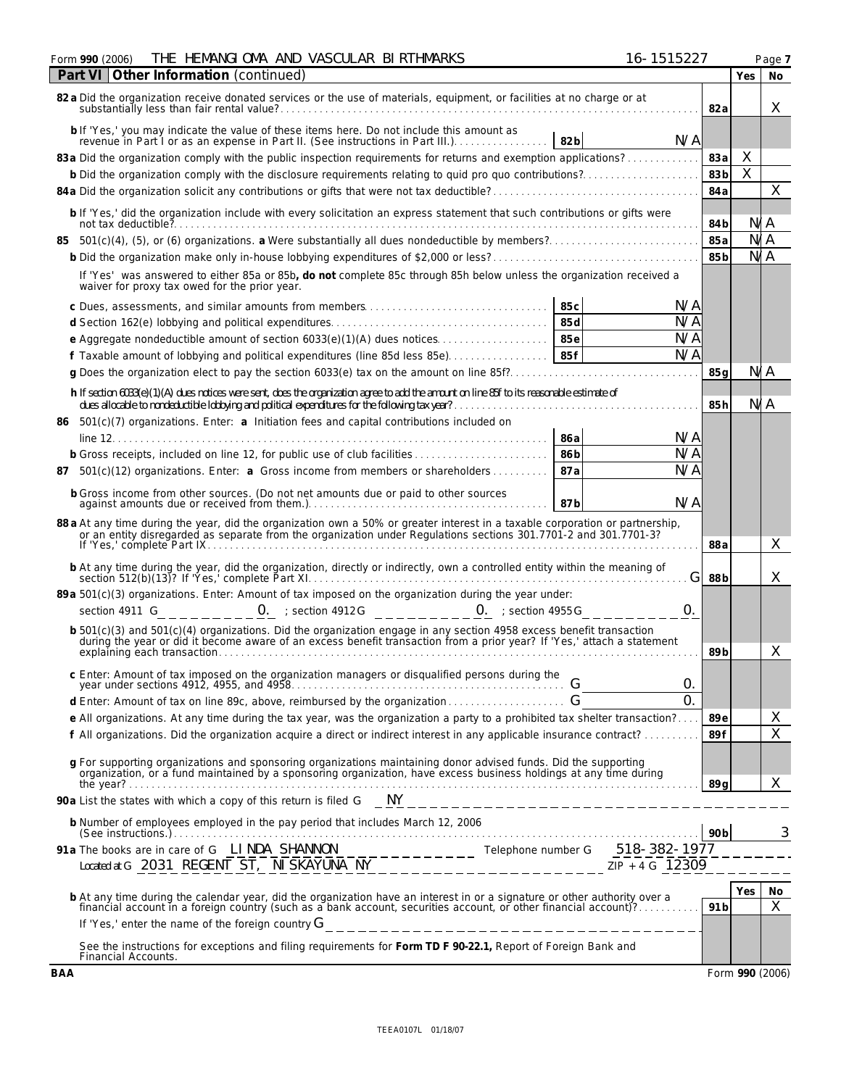| THE HEMANGIOMA AND VASCULAR BIRTHMARKS<br>Form 990 (2006)                                                                                                                                                                                                                       | 16-1515227 |                 |                | Page 7         |
|---------------------------------------------------------------------------------------------------------------------------------------------------------------------------------------------------------------------------------------------------------------------------------|------------|-----------------|----------------|----------------|
| Part VI Other Information (continued)                                                                                                                                                                                                                                           |            |                 | Yes            | No             |
| 82 a Did the organization receive donated services or the use of materials, equipment, or facilities at no charge or at                                                                                                                                                         |            | 82a             |                | X              |
| b If 'Yes,' you may indicate the value of these items here. Do not include this amount as<br>$\frac{1}{10}$ res, you may muicate the value of these items here. Do not include this amount as<br>revenue in Part I or as an expense in Part II. (See instructions in Part III.) | N/A        |                 |                |                |
| 83a Did the organization comply with the public inspection requirements for returns and exemption applications?                                                                                                                                                                 |            | 83a             | Χ              |                |
|                                                                                                                                                                                                                                                                                 |            | 83b             | $\overline{X}$ |                |
|                                                                                                                                                                                                                                                                                 |            | 84a             |                | X              |
| b If 'Yes,' did the organization include with every solicitation an express statement that such contributions or gifts were                                                                                                                                                     |            | 84b             | N/A            |                |
| 85                                                                                                                                                                                                                                                                              |            | 85a             | N/A            |                |
|                                                                                                                                                                                                                                                                                 |            | 85 <sub>b</sub> | N/A            |                |
| If 'Yes' was answered to either 85a or 85b, do not complete 85c through 85h below unless the organization received a<br>waiver for proxy tax owed for the prior year.                                                                                                           |            |                 |                |                |
| 85c                                                                                                                                                                                                                                                                             | N/A        |                 |                |                |
| 85d                                                                                                                                                                                                                                                                             | N/A        |                 |                |                |
|                                                                                                                                                                                                                                                                                 | N/A        |                 |                |                |
|                                                                                                                                                                                                                                                                                 | N/A        |                 |                |                |
|                                                                                                                                                                                                                                                                                 |            | 85 a            | N/A            |                |
| h If section 6033(e)(1)(A) dues notices were sent, does the organization agree to add the amount on line 85f to its reasonable estimate of                                                                                                                                      |            | 85h             | N/A            |                |
| 86 501(c)(7) organizations. Enter: a Initiation fees and capital contributions included on                                                                                                                                                                                      |            |                 |                |                |
| 86a                                                                                                                                                                                                                                                                             | N/A        |                 |                |                |
| b Gross receipts, included on line 12, for public use of club facilities<br>86 <sub>b</sub>                                                                                                                                                                                     | N/A        |                 |                |                |
| 87a<br>87 501(c)(12) organizations. Enter: a Gross income from members or shareholders                                                                                                                                                                                          | N/A        |                 |                |                |
| b Gross income from other sources. (Do not net amounts due or paid to other sources<br>87b                                                                                                                                                                                      | N/A        |                 |                |                |
| 88 a At any time during the year, did the organization own a 50% or greater interest in a taxable corporation or partnership, or an entity disregarded as separate from the organization under Regulations sections 301.7701-2                                                  |            | 88a             |                | Χ              |
| b At any time during the year, did the organization, directly or indirectly, own a controlled entity within the meaning of section 512(b)(13)? If 'Yes,' complete Part XI.                                                                                                      | G          | 88 b            |                | X              |
| 89 a 501(c)(3) organizations. Enter: Amount of tax imposed on the organization during the year under:                                                                                                                                                                           |            |                 |                |                |
| section 4911 G $0.25 - 0.35 = 0.15$ : section 4912G $1.25 - 0.35 = 0.15$ : section 4955G                                                                                                                                                                                        | 0.         |                 |                |                |
|                                                                                                                                                                                                                                                                                 |            |                 |                |                |
| b 501(c)(3) and 501(c)(4) organizations. Did the organization engage in any section 4958 excess benefit transaction<br>during the year or did it become aware of an excess benefit transaction from a prior year? If 'Yes,' attac                                               |            | 89 <sub>b</sub> |                | Χ              |
| c Enter: Amount of tax imposed on the organization managers or disqualified persons during the                                                                                                                                                                                  | 0.         |                 |                |                |
|                                                                                                                                                                                                                                                                                 | $\Omega$ . |                 |                |                |
| e All organizations. At any time during the tax year, was the organization a party to a prohibited tax shelter transaction?                                                                                                                                                     |            | 89e             |                | X              |
| f All organizations. Did the organization acquire a direct or indirect interest in any applicable insurance contract?                                                                                                                                                           |            | 89f             |                | $\overline{X}$ |
|                                                                                                                                                                                                                                                                                 |            |                 |                |                |
| g For supporting organizations and sponsoring organizations maintaining donor advised funds. Did the supporting<br>organization, or a fund maintained by a sponsoring organization, have excess business holdings at any time dur                                               |            | 89 a            |                | X              |
|                                                                                                                                                                                                                                                                                 |            |                 |                |                |
| b Number of employees employed in the pay period that includes March 12, 2006                                                                                                                                                                                                   |            | 90 <sub>b</sub> |                | 3              |
|                                                                                                                                                                                                                                                                                 |            |                 |                |                |
| b At any time during the calendar year, did the organization have an interest in or a signature or other authority over a                                                                                                                                                       |            |                 | Yes            | No             |
| financial account in a foreign country (such as a bank account, securities account, or other financial account)?                                                                                                                                                                |            | 91 <sub>b</sub> |                | $\times$       |
| If 'Yes,' enter the name of the foreign country $G_{\text{max}} = 1$                                                                                                                                                                                                            |            |                 |                |                |
| See the instructions for exceptions and filing requirements for Form TD F 90-22.1, Report of Foreign Bank and<br>Financial Accounts.                                                                                                                                            |            |                 |                |                |
| <b>BAA</b>                                                                                                                                                                                                                                                                      |            | Form 990 (2006) |                |                |

| ۰, |  |  |
|----|--|--|
|    |  |  |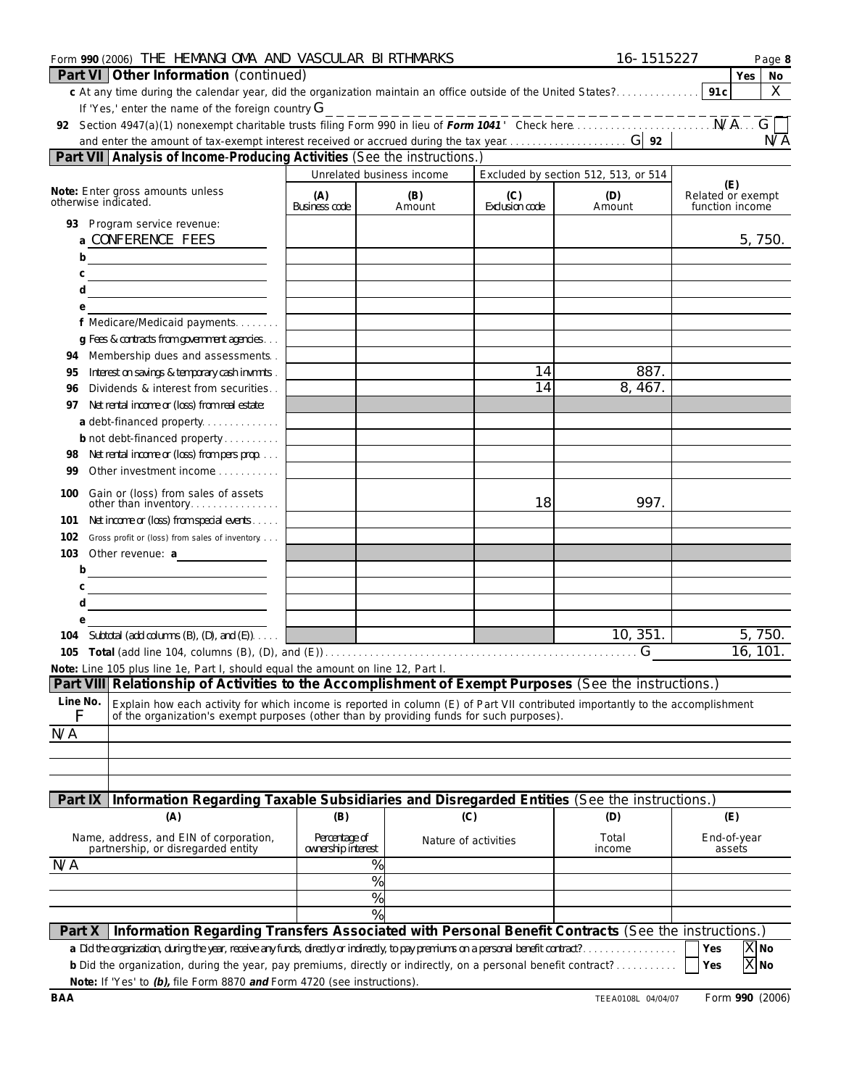| Part VI Other Information (continued)<br>Yes<br>91 <sub>c</sub><br>c At any time during the calendar year, did the organization maintain an office outside of the United States?<br>If 'Yes,' enter the name of the foreign country $G$<br>-------------<br>Section 4947(a)(1) nonexempt charitable trusts filing Form 990 in lieu of Form 1041' Check here.<br>92<br>N/A<br>Part VII Analysis of Income-Producing Activities (See the instructions.)<br>Excluded by section 512, 513, or 514<br>Unrelated business income<br>(E)<br>Note: Enter gross amounts unless<br>Related or exempt<br>(C)<br>(A)<br>(B)<br>(D)<br>otherwise indicated.<br><b>Business code</b><br>Exclusion code<br>Amount<br>function income<br>Amount<br>93 Program service revenue:<br>a CONFERENCE FEES<br>b<br><u> 1989 - Johann Barbara, martin a</u><br>С<br><u> 1989 - Johann Barbara, martin a</u><br>d<br><u> 1989 - Johann Barn, mars an t-Amerikaansk politiker (</u><br>е<br>f Medicare/Medicaid payments<br>g Fees & contracts from government agencies<br>Membership dues and assessments.<br>94<br>887.<br>14<br>Interest on savings & temporary cash invmnts.<br>95<br>14<br>8, 467.<br>Dividends & interest from securities<br>96<br>Net rental income or (loss) from real estate:<br>97<br>a debt-financed property<br>b not debt-financed property<br>Net rental income or (loss) from pers prop<br>98<br>Other investment income<br>99<br>Gain or (loss) from sales of assets<br>100<br>18<br>997.<br>other than inventory<br>Net income or (loss) from special events<br>101<br>102<br>Gross profit or (loss) from sales of inventory<br>103<br>Other revenue: a<br>b | Form 990 (2006) THE HEMANGI OMA AND VASCULAR BIRTHMARKS |  | 16-1515227 | Page 8             |
|---------------------------------------------------------------------------------------------------------------------------------------------------------------------------------------------------------------------------------------------------------------------------------------------------------------------------------------------------------------------------------------------------------------------------------------------------------------------------------------------------------------------------------------------------------------------------------------------------------------------------------------------------------------------------------------------------------------------------------------------------------------------------------------------------------------------------------------------------------------------------------------------------------------------------------------------------------------------------------------------------------------------------------------------------------------------------------------------------------------------------------------------------------------------------------------------------------------------------------------------------------------------------------------------------------------------------------------------------------------------------------------------------------------------------------------------------------------------------------------------------------------------------------------------------------------------------------------------------------------------------------------------------------------------|---------------------------------------------------------|--|------------|--------------------|
|                                                                                                                                                                                                                                                                                                                                                                                                                                                                                                                                                                                                                                                                                                                                                                                                                                                                                                                                                                                                                                                                                                                                                                                                                                                                                                                                                                                                                                                                                                                                                                                                                                                                     |                                                         |  |            | No                 |
|                                                                                                                                                                                                                                                                                                                                                                                                                                                                                                                                                                                                                                                                                                                                                                                                                                                                                                                                                                                                                                                                                                                                                                                                                                                                                                                                                                                                                                                                                                                                                                                                                                                                     |                                                         |  |            | X                  |
|                                                                                                                                                                                                                                                                                                                                                                                                                                                                                                                                                                                                                                                                                                                                                                                                                                                                                                                                                                                                                                                                                                                                                                                                                                                                                                                                                                                                                                                                                                                                                                                                                                                                     |                                                         |  |            |                    |
|                                                                                                                                                                                                                                                                                                                                                                                                                                                                                                                                                                                                                                                                                                                                                                                                                                                                                                                                                                                                                                                                                                                                                                                                                                                                                                                                                                                                                                                                                                                                                                                                                                                                     |                                                         |  |            |                    |
|                                                                                                                                                                                                                                                                                                                                                                                                                                                                                                                                                                                                                                                                                                                                                                                                                                                                                                                                                                                                                                                                                                                                                                                                                                                                                                                                                                                                                                                                                                                                                                                                                                                                     |                                                         |  |            |                    |
|                                                                                                                                                                                                                                                                                                                                                                                                                                                                                                                                                                                                                                                                                                                                                                                                                                                                                                                                                                                                                                                                                                                                                                                                                                                                                                                                                                                                                                                                                                                                                                                                                                                                     |                                                         |  |            |                    |
|                                                                                                                                                                                                                                                                                                                                                                                                                                                                                                                                                                                                                                                                                                                                                                                                                                                                                                                                                                                                                                                                                                                                                                                                                                                                                                                                                                                                                                                                                                                                                                                                                                                                     |                                                         |  |            |                    |
|                                                                                                                                                                                                                                                                                                                                                                                                                                                                                                                                                                                                                                                                                                                                                                                                                                                                                                                                                                                                                                                                                                                                                                                                                                                                                                                                                                                                                                                                                                                                                                                                                                                                     |                                                         |  |            |                    |
|                                                                                                                                                                                                                                                                                                                                                                                                                                                                                                                                                                                                                                                                                                                                                                                                                                                                                                                                                                                                                                                                                                                                                                                                                                                                                                                                                                                                                                                                                                                                                                                                                                                                     |                                                         |  |            |                    |
|                                                                                                                                                                                                                                                                                                                                                                                                                                                                                                                                                                                                                                                                                                                                                                                                                                                                                                                                                                                                                                                                                                                                                                                                                                                                                                                                                                                                                                                                                                                                                                                                                                                                     |                                                         |  |            | 5,750.             |
|                                                                                                                                                                                                                                                                                                                                                                                                                                                                                                                                                                                                                                                                                                                                                                                                                                                                                                                                                                                                                                                                                                                                                                                                                                                                                                                                                                                                                                                                                                                                                                                                                                                                     |                                                         |  |            |                    |
|                                                                                                                                                                                                                                                                                                                                                                                                                                                                                                                                                                                                                                                                                                                                                                                                                                                                                                                                                                                                                                                                                                                                                                                                                                                                                                                                                                                                                                                                                                                                                                                                                                                                     |                                                         |  |            |                    |
|                                                                                                                                                                                                                                                                                                                                                                                                                                                                                                                                                                                                                                                                                                                                                                                                                                                                                                                                                                                                                                                                                                                                                                                                                                                                                                                                                                                                                                                                                                                                                                                                                                                                     |                                                         |  |            |                    |
|                                                                                                                                                                                                                                                                                                                                                                                                                                                                                                                                                                                                                                                                                                                                                                                                                                                                                                                                                                                                                                                                                                                                                                                                                                                                                                                                                                                                                                                                                                                                                                                                                                                                     |                                                         |  |            |                    |
|                                                                                                                                                                                                                                                                                                                                                                                                                                                                                                                                                                                                                                                                                                                                                                                                                                                                                                                                                                                                                                                                                                                                                                                                                                                                                                                                                                                                                                                                                                                                                                                                                                                                     |                                                         |  |            |                    |
|                                                                                                                                                                                                                                                                                                                                                                                                                                                                                                                                                                                                                                                                                                                                                                                                                                                                                                                                                                                                                                                                                                                                                                                                                                                                                                                                                                                                                                                                                                                                                                                                                                                                     |                                                         |  |            |                    |
|                                                                                                                                                                                                                                                                                                                                                                                                                                                                                                                                                                                                                                                                                                                                                                                                                                                                                                                                                                                                                                                                                                                                                                                                                                                                                                                                                                                                                                                                                                                                                                                                                                                                     |                                                         |  |            |                    |
|                                                                                                                                                                                                                                                                                                                                                                                                                                                                                                                                                                                                                                                                                                                                                                                                                                                                                                                                                                                                                                                                                                                                                                                                                                                                                                                                                                                                                                                                                                                                                                                                                                                                     |                                                         |  |            |                    |
|                                                                                                                                                                                                                                                                                                                                                                                                                                                                                                                                                                                                                                                                                                                                                                                                                                                                                                                                                                                                                                                                                                                                                                                                                                                                                                                                                                                                                                                                                                                                                                                                                                                                     |                                                         |  |            |                    |
|                                                                                                                                                                                                                                                                                                                                                                                                                                                                                                                                                                                                                                                                                                                                                                                                                                                                                                                                                                                                                                                                                                                                                                                                                                                                                                                                                                                                                                                                                                                                                                                                                                                                     |                                                         |  |            |                    |
|                                                                                                                                                                                                                                                                                                                                                                                                                                                                                                                                                                                                                                                                                                                                                                                                                                                                                                                                                                                                                                                                                                                                                                                                                                                                                                                                                                                                                                                                                                                                                                                                                                                                     |                                                         |  |            |                    |
|                                                                                                                                                                                                                                                                                                                                                                                                                                                                                                                                                                                                                                                                                                                                                                                                                                                                                                                                                                                                                                                                                                                                                                                                                                                                                                                                                                                                                                                                                                                                                                                                                                                                     |                                                         |  |            |                    |
|                                                                                                                                                                                                                                                                                                                                                                                                                                                                                                                                                                                                                                                                                                                                                                                                                                                                                                                                                                                                                                                                                                                                                                                                                                                                                                                                                                                                                                                                                                                                                                                                                                                                     |                                                         |  |            |                    |
|                                                                                                                                                                                                                                                                                                                                                                                                                                                                                                                                                                                                                                                                                                                                                                                                                                                                                                                                                                                                                                                                                                                                                                                                                                                                                                                                                                                                                                                                                                                                                                                                                                                                     |                                                         |  |            |                    |
|                                                                                                                                                                                                                                                                                                                                                                                                                                                                                                                                                                                                                                                                                                                                                                                                                                                                                                                                                                                                                                                                                                                                                                                                                                                                                                                                                                                                                                                                                                                                                                                                                                                                     |                                                         |  |            |                    |
|                                                                                                                                                                                                                                                                                                                                                                                                                                                                                                                                                                                                                                                                                                                                                                                                                                                                                                                                                                                                                                                                                                                                                                                                                                                                                                                                                                                                                                                                                                                                                                                                                                                                     |                                                         |  |            |                    |
|                                                                                                                                                                                                                                                                                                                                                                                                                                                                                                                                                                                                                                                                                                                                                                                                                                                                                                                                                                                                                                                                                                                                                                                                                                                                                                                                                                                                                                                                                                                                                                                                                                                                     |                                                         |  |            |                    |
|                                                                                                                                                                                                                                                                                                                                                                                                                                                                                                                                                                                                                                                                                                                                                                                                                                                                                                                                                                                                                                                                                                                                                                                                                                                                                                                                                                                                                                                                                                                                                                                                                                                                     |                                                         |  |            |                    |
| С                                                                                                                                                                                                                                                                                                                                                                                                                                                                                                                                                                                                                                                                                                                                                                                                                                                                                                                                                                                                                                                                                                                                                                                                                                                                                                                                                                                                                                                                                                                                                                                                                                                                   |                                                         |  |            |                    |
| d                                                                                                                                                                                                                                                                                                                                                                                                                                                                                                                                                                                                                                                                                                                                                                                                                                                                                                                                                                                                                                                                                                                                                                                                                                                                                                                                                                                                                                                                                                                                                                                                                                                                   |                                                         |  |            |                    |
| e                                                                                                                                                                                                                                                                                                                                                                                                                                                                                                                                                                                                                                                                                                                                                                                                                                                                                                                                                                                                                                                                                                                                                                                                                                                                                                                                                                                                                                                                                                                                                                                                                                                                   |                                                         |  |            |                    |
| 10, 351<br>104 Subtotal (add columns (B), (D), and (E)).<br>$\overline{G}$                                                                                                                                                                                                                                                                                                                                                                                                                                                                                                                                                                                                                                                                                                                                                                                                                                                                                                                                                                                                                                                                                                                                                                                                                                                                                                                                                                                                                                                                                                                                                                                          |                                                         |  |            | 5,750.<br>16, 101. |
| 105 Total (add line 104, columns (B), (D), and (E))<br>Note: Line 105 plus line 1e, Part I, should equal the amount on line 12, Part I.                                                                                                                                                                                                                                                                                                                                                                                                                                                                                                                                                                                                                                                                                                                                                                                                                                                                                                                                                                                                                                                                                                                                                                                                                                                                                                                                                                                                                                                                                                                             |                                                         |  |            |                    |
| Relationship of Activities to the Accomplishment of Exempt Purposes (See the instructions.)<br>Part VIII                                                                                                                                                                                                                                                                                                                                                                                                                                                                                                                                                                                                                                                                                                                                                                                                                                                                                                                                                                                                                                                                                                                                                                                                                                                                                                                                                                                                                                                                                                                                                            |                                                         |  |            |                    |
| Line No.<br>Explain how each activity for which income is reported in column (E) of Part VII contributed importantly to the accomplishment                                                                                                                                                                                                                                                                                                                                                                                                                                                                                                                                                                                                                                                                                                                                                                                                                                                                                                                                                                                                                                                                                                                                                                                                                                                                                                                                                                                                                                                                                                                          |                                                         |  |            |                    |
| F<br>of the organization's exempt purposes (other than by providing funds for such purposes).                                                                                                                                                                                                                                                                                                                                                                                                                                                                                                                                                                                                                                                                                                                                                                                                                                                                                                                                                                                                                                                                                                                                                                                                                                                                                                                                                                                                                                                                                                                                                                       |                                                         |  |            |                    |
| $N/\overline{A}$                                                                                                                                                                                                                                                                                                                                                                                                                                                                                                                                                                                                                                                                                                                                                                                                                                                                                                                                                                                                                                                                                                                                                                                                                                                                                                                                                                                                                                                                                                                                                                                                                                                    |                                                         |  |            |                    |
|                                                                                                                                                                                                                                                                                                                                                                                                                                                                                                                                                                                                                                                                                                                                                                                                                                                                                                                                                                                                                                                                                                                                                                                                                                                                                                                                                                                                                                                                                                                                                                                                                                                                     |                                                         |  |            |                    |
|                                                                                                                                                                                                                                                                                                                                                                                                                                                                                                                                                                                                                                                                                                                                                                                                                                                                                                                                                                                                                                                                                                                                                                                                                                                                                                                                                                                                                                                                                                                                                                                                                                                                     |                                                         |  |            |                    |
|                                                                                                                                                                                                                                                                                                                                                                                                                                                                                                                                                                                                                                                                                                                                                                                                                                                                                                                                                                                                                                                                                                                                                                                                                                                                                                                                                                                                                                                                                                                                                                                                                                                                     |                                                         |  |            |                    |
| Information Regarding Taxable Subsidiaries and Disregarded Entities (See the instructions.)<br>Part IX                                                                                                                                                                                                                                                                                                                                                                                                                                                                                                                                                                                                                                                                                                                                                                                                                                                                                                                                                                                                                                                                                                                                                                                                                                                                                                                                                                                                                                                                                                                                                              |                                                         |  |            |                    |
| (A)<br>(C)<br>(E)<br>(B)<br>(D)                                                                                                                                                                                                                                                                                                                                                                                                                                                                                                                                                                                                                                                                                                                                                                                                                                                                                                                                                                                                                                                                                                                                                                                                                                                                                                                                                                                                                                                                                                                                                                                                                                     |                                                         |  |            |                    |
| Name, address, and EIN of corporation,<br>Percentage of<br>Total<br>End-of-year<br>Nature of activities<br>ownership interest<br>partnership, or disregarded entity<br>assets<br>income                                                                                                                                                                                                                                                                                                                                                                                                                                                                                                                                                                                                                                                                                                                                                                                                                                                                                                                                                                                                                                                                                                                                                                                                                                                                                                                                                                                                                                                                             |                                                         |  |            |                    |
| %<br>N/A                                                                                                                                                                                                                                                                                                                                                                                                                                                                                                                                                                                                                                                                                                                                                                                                                                                                                                                                                                                                                                                                                                                                                                                                                                                                                                                                                                                                                                                                                                                                                                                                                                                            |                                                         |  |            |                    |
| %                                                                                                                                                                                                                                                                                                                                                                                                                                                                                                                                                                                                                                                                                                                                                                                                                                                                                                                                                                                                                                                                                                                                                                                                                                                                                                                                                                                                                                                                                                                                                                                                                                                                   |                                                         |  |            |                    |
| $\%$                                                                                                                                                                                                                                                                                                                                                                                                                                                                                                                                                                                                                                                                                                                                                                                                                                                                                                                                                                                                                                                                                                                                                                                                                                                                                                                                                                                                                                                                                                                                                                                                                                                                |                                                         |  |            |                    |
| $\frac{9}{6}$                                                                                                                                                                                                                                                                                                                                                                                                                                                                                                                                                                                                                                                                                                                                                                                                                                                                                                                                                                                                                                                                                                                                                                                                                                                                                                                                                                                                                                                                                                                                                                                                                                                       |                                                         |  |            |                    |
| Information Regarding Transfers Associated with Personal Benefit Contracts (See the instructions.)<br>Part X                                                                                                                                                                                                                                                                                                                                                                                                                                                                                                                                                                                                                                                                                                                                                                                                                                                                                                                                                                                                                                                                                                                                                                                                                                                                                                                                                                                                                                                                                                                                                        |                                                         |  |            |                    |
| X No<br>a Did the organization, during the year, receive any funds, directly or indirectly, to pay premiums on a personal benefit contract?.<br>Yes                                                                                                                                                                                                                                                                                                                                                                                                                                                                                                                                                                                                                                                                                                                                                                                                                                                                                                                                                                                                                                                                                                                                                                                                                                                                                                                                                                                                                                                                                                                 |                                                         |  |            |                    |
| X No<br>b Did the organization, during the year, pay premiums, directly or indirectly, on a personal benefit contract?<br>Yes<br>Note: If 'Yes' to (b), file Form 8870 and Form 4720 (see instructions).                                                                                                                                                                                                                                                                                                                                                                                                                                                                                                                                                                                                                                                                                                                                                                                                                                                                                                                                                                                                                                                                                                                                                                                                                                                                                                                                                                                                                                                            |                                                         |  |            |                    |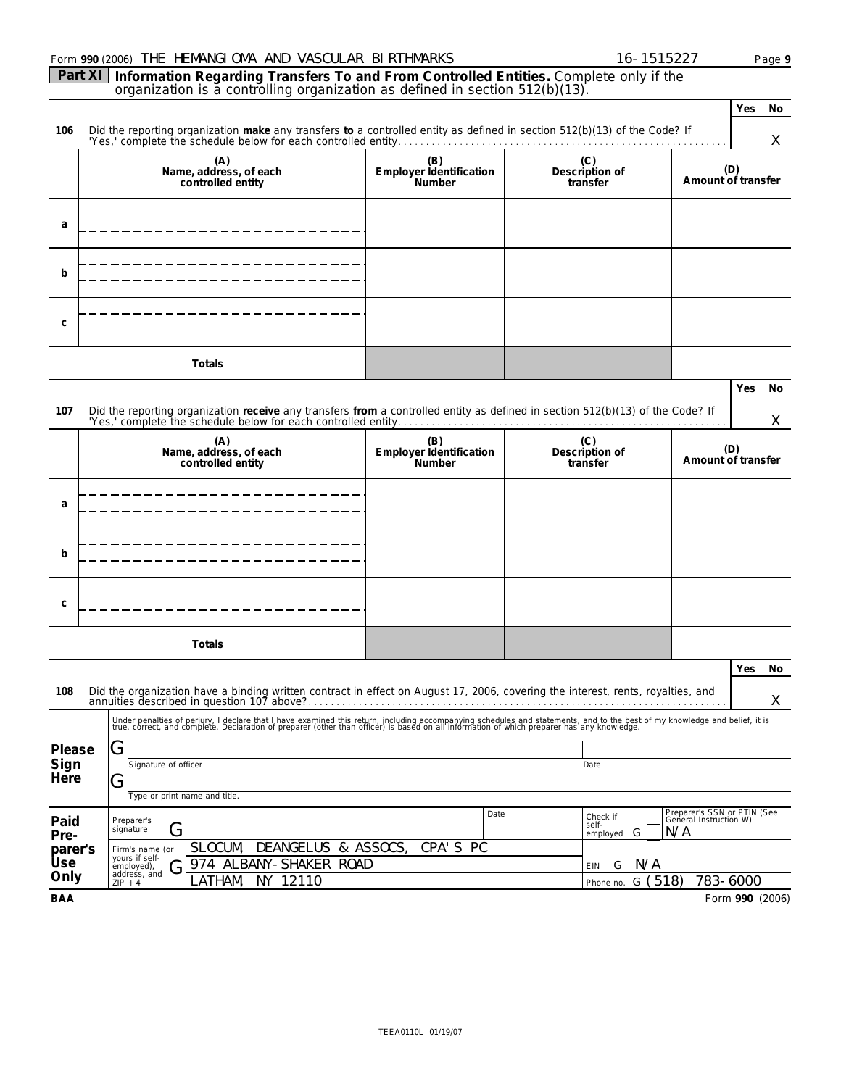|                | Form 990 (2006) THE HEMANGI OMA AND VASCULAR BI RTHMARKS                                                                                                                                                                               |                                          | 16-1515227                             |                                                              |                           | Page 9  |  |  |
|----------------|----------------------------------------------------------------------------------------------------------------------------------------------------------------------------------------------------------------------------------------|------------------------------------------|----------------------------------------|--------------------------------------------------------------|---------------------------|---------|--|--|
| Part XI        | Information Regarding Transfers To and From Controlled Entities. Complete only if the<br>organization is a controlling organization as defined in section 512(b)(13).                                                                  |                                          |                                        |                                                              |                           |         |  |  |
|                |                                                                                                                                                                                                                                        |                                          |                                        |                                                              | Yes                       | No      |  |  |
| 106            | Did the reporting organization make any transfers to a controlled entity as defined in section 512(b)(13) of the Code? If                                                                                                              |                                          |                                        |                                                              |                           | X       |  |  |
|                | (A)<br>Name, address, of each<br>controlled entity                                                                                                                                                                                     | (B)<br>Employer Identification<br>Number | Description of<br>transfer             |                                                              | (D)<br>Amount of transfer |         |  |  |
| a              |                                                                                                                                                                                                                                        |                                          |                                        |                                                              |                           |         |  |  |
| b              |                                                                                                                                                                                                                                        |                                          |                                        |                                                              |                           |         |  |  |
| C              |                                                                                                                                                                                                                                        |                                          |                                        |                                                              |                           |         |  |  |
|                | Totals                                                                                                                                                                                                                                 |                                          |                                        |                                                              |                           |         |  |  |
| 107            | Did the reporting organization receive any transfers from a controlled entity as defined in section 512(b)(13) of the Code? If                                                                                                         |                                          |                                        |                                                              | Yes                       | No<br>X |  |  |
|                | (A)<br>Name, address, of each<br>controlled entity                                                                                                                                                                                     | (B)<br>Employer Identification<br>Number | (C)<br>Description of<br>transfer      |                                                              | (D)<br>Amount of transfer |         |  |  |
| a              |                                                                                                                                                                                                                                        |                                          |                                        |                                                              |                           |         |  |  |
| b              |                                                                                                                                                                                                                                        |                                          |                                        |                                                              |                           |         |  |  |
| C              |                                                                                                                                                                                                                                        |                                          |                                        |                                                              |                           |         |  |  |
|                | Totals                                                                                                                                                                                                                                 |                                          |                                        |                                                              |                           |         |  |  |
|                |                                                                                                                                                                                                                                        |                                          |                                        |                                                              |                           | Yes No  |  |  |
| 108            | Did the organization have a binding written contract in effect on August 17, 2006, covering the interest, rents, royalties, and                                                                                                        |                                          |                                        |                                                              |                           | X.      |  |  |
| Please         | Under penalties of perjury, I declare that I have examined this return, including accompanying schedules and statements, and to the best of my knowledge and belief, it is<br>true, correct, and complete. Declaration of prepare<br>G |                                          |                                        |                                                              |                           |         |  |  |
| Sign<br>Here   | Signature of officer<br>Date<br>O<br>Type or print name and title.                                                                                                                                                                     |                                          |                                        |                                                              |                           |         |  |  |
| Paid<br>Pre-   | Preparer's<br>G<br>signature                                                                                                                                                                                                           | Date                                     | Check if<br>self-<br>G<br>employed     | Preparer's SSN or PTIN (See<br>General Instruction W)<br>N/A |                           |         |  |  |
| parer's<br>Use | DEANGELUS & ASSOCS,<br>SLOCUM,<br>CPA'S<br>-PC<br>Firm's name (or<br>yours if self-                                                                                                                                                    |                                          |                                        |                                                              |                           |         |  |  |
| Only           | 974 ALBANY-SHAKER ROAD<br>employed),<br>$\overline{\phantom{a}}$<br>address, and<br>NY 12110<br>LATHAM,<br>$ZIP + 4$                                                                                                                   |                                          | N/A<br>G<br>EIN<br>G(518)<br>Phone no. |                                                              | 783-6000                  |         |  |  |
| <b>BAA</b>     |                                                                                                                                                                                                                                        |                                          |                                        |                                                              | Form 990 (2006)           |         |  |  |

TEEA0110L 01/19/07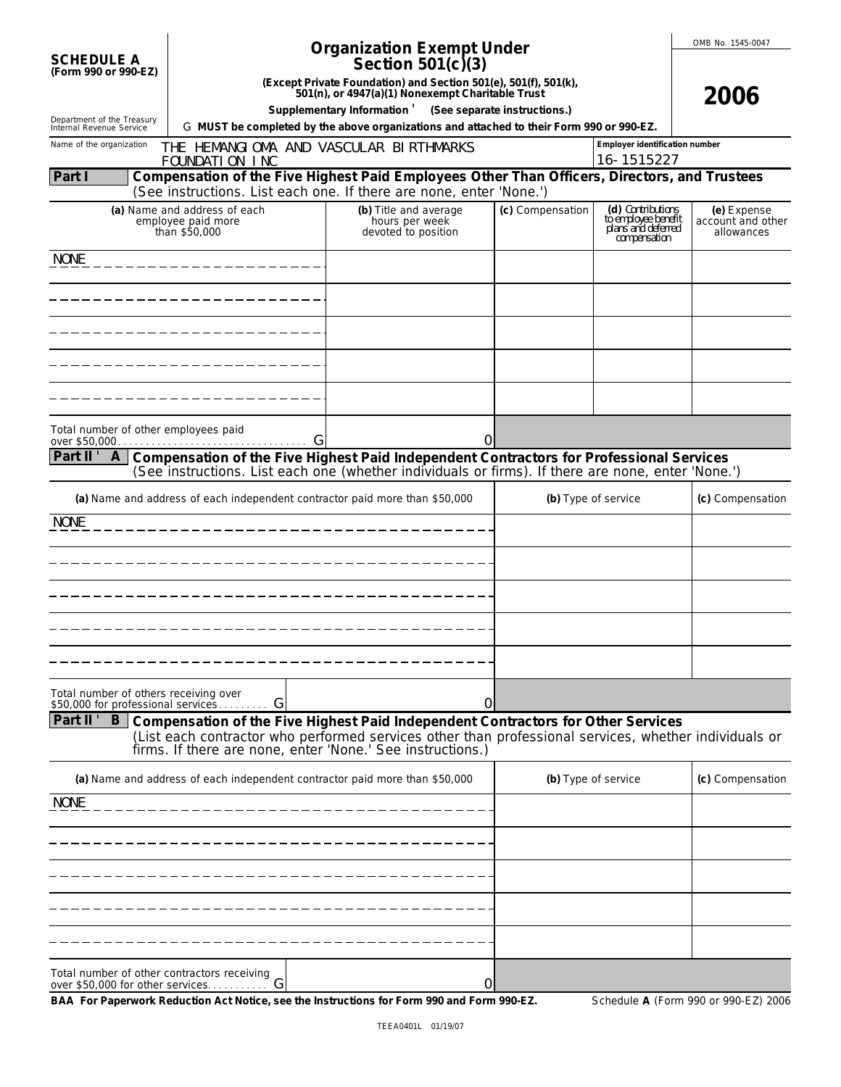|                                                      |                                                                                                                                                                                               | <b>Organization Exempt Under</b>                                                                                                                     |                  |                                                                                | OMB No. 1545-0047                              |
|------------------------------------------------------|-----------------------------------------------------------------------------------------------------------------------------------------------------------------------------------------------|------------------------------------------------------------------------------------------------------------------------------------------------------|------------------|--------------------------------------------------------------------------------|------------------------------------------------|
| <b>SCHEDULE A</b><br>(Form 990 or 990-EZ)            |                                                                                                                                                                                               | Section $501(c)(3)$                                                                                                                                  |                  |                                                                                |                                                |
|                                                      |                                                                                                                                                                                               | (Except Private Foundation) and Section 501(e), 501(f), 501(k),<br>501(n), or 4947(a)(1) Nonexempt Charitable Trust                                  |                  |                                                                                | 2006                                           |
| Department of the Treasury                           |                                                                                                                                                                                               | Supplementary Information ' (See separate instructions.)<br>G MUST be completed by the above organizations and attached to their Form 990 or 990-EZ. |                  |                                                                                |                                                |
| Internal Revenue Service<br>Name of the organization | THE HEMANGIOMA AND VASCULAR BIRTHMARKS                                                                                                                                                        |                                                                                                                                                      |                  | Employer identification number                                                 |                                                |
|                                                      | FOUNDATION INC                                                                                                                                                                                |                                                                                                                                                      |                  | 16-1515227                                                                     |                                                |
| Part I                                               | Compensation of the Five Highest Paid Employees Other Than Officers, Directors, and Trustees<br>(See instructions. List each one. If there are none, enter 'None.')                           |                                                                                                                                                      |                  |                                                                                |                                                |
|                                                      | (a) Name and address of each<br>employee paid more<br>than \$50,000                                                                                                                           | (b) Title and average<br>hours per week<br>devoted to position                                                                                       | (c) Compensation | (d) Contributions<br>to employee benefit<br>plans and deferred<br>compensation | (e) Expense<br>account and other<br>allowances |
| <b>NONE</b>                                          |                                                                                                                                                                                               |                                                                                                                                                      |                  |                                                                                |                                                |
|                                                      |                                                                                                                                                                                               |                                                                                                                                                      |                  |                                                                                |                                                |
|                                                      |                                                                                                                                                                                               |                                                                                                                                                      |                  |                                                                                |                                                |
|                                                      |                                                                                                                                                                                               |                                                                                                                                                      |                  |                                                                                |                                                |
|                                                      |                                                                                                                                                                                               |                                                                                                                                                      |                  |                                                                                |                                                |
|                                                      |                                                                                                                                                                                               |                                                                                                                                                      |                  |                                                                                |                                                |
|                                                      |                                                                                                                                                                                               |                                                                                                                                                      |                  |                                                                                |                                                |
| Total number of other employees paid                 |                                                                                                                                                                                               |                                                                                                                                                      | 0                |                                                                                |                                                |
| Part II' A                                           | Compensation of the Five Highest Paid Independent Contractors for Professional Services<br>(See instructions. List each one (whether individuals or firms). If there are none, enter 'None.') |                                                                                                                                                      |                  |                                                                                |                                                |
|                                                      | (a) Name and address of each independent contractor paid more than \$50,000                                                                                                                   |                                                                                                                                                      |                  | (b) Type of service                                                            | (c) Compensation                               |
| <b>NONE</b>                                          |                                                                                                                                                                                               |                                                                                                                                                      |                  |                                                                                |                                                |
|                                                      |                                                                                                                                                                                               |                                                                                                                                                      |                  |                                                                                |                                                |
|                                                      |                                                                                                                                                                                               |                                                                                                                                                      |                  |                                                                                |                                                |
|                                                      |                                                                                                                                                                                               |                                                                                                                                                      |                  |                                                                                |                                                |
|                                                      |                                                                                                                                                                                               |                                                                                                                                                      |                  |                                                                                |                                                |
|                                                      |                                                                                                                                                                                               |                                                                                                                                                      |                  |                                                                                |                                                |
|                                                      |                                                                                                                                                                                               |                                                                                                                                                      |                  |                                                                                |                                                |
| Total number of others receiving over                |                                                                                                                                                                                               |                                                                                                                                                      |                  |                                                                                |                                                |
| \$50,000 for professional services<br>Part II'       | G<br>B Compensation of the Five Highest Paid Independent Contractors for Other Services                                                                                                       |                                                                                                                                                      | 0                |                                                                                |                                                |
|                                                      | (List each contractor who performed services other than professional services, whether individuals or<br>firms. If there are none, enter 'None.' See instructions.)                           |                                                                                                                                                      |                  |                                                                                |                                                |
|                                                      | (a) Name and address of each independent contractor paid more than \$50,000                                                                                                                   |                                                                                                                                                      |                  | (b) Type of service                                                            | (c) Compensation                               |
| <b>NONE</b>                                          |                                                                                                                                                                                               |                                                                                                                                                      |                  |                                                                                |                                                |
|                                                      |                                                                                                                                                                                               |                                                                                                                                                      |                  |                                                                                |                                                |
|                                                      |                                                                                                                                                                                               |                                                                                                                                                      |                  |                                                                                |                                                |
|                                                      |                                                                                                                                                                                               |                                                                                                                                                      |                  |                                                                                |                                                |
|                                                      |                                                                                                                                                                                               |                                                                                                                                                      |                  |                                                                                |                                                |
|                                                      |                                                                                                                                                                                               |                                                                                                                                                      |                  |                                                                                |                                                |
|                                                      |                                                                                                                                                                                               |                                                                                                                                                      |                  |                                                                                |                                                |
| Total number of other contractors receiving          |                                                                                                                                                                                               |                                                                                                                                                      | 0                |                                                                                |                                                |

BAA For Paperwork Reduction Act Notice, see the Instructions for Form 990 and Form 990-EZ. Schedule A (Form 990 or 990-EZ) 2006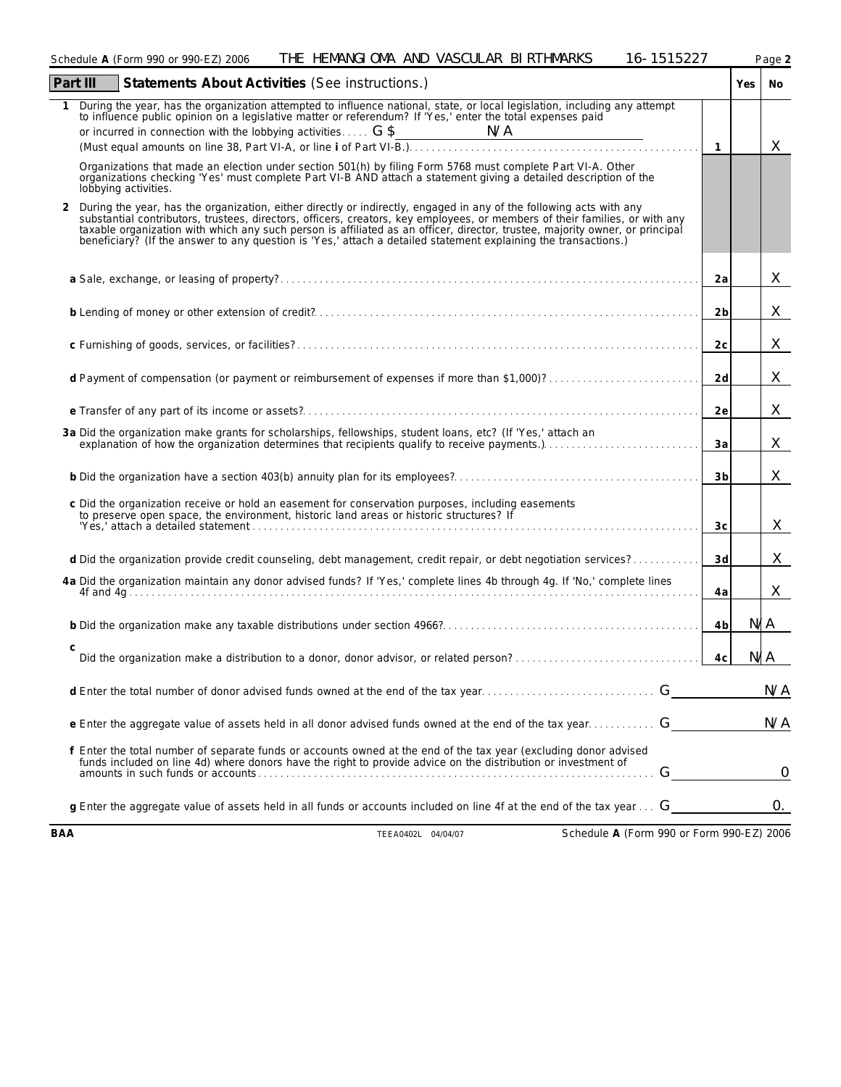|          | THE HEMANGIOMA AND VASCULAR BIRTHMARKS<br>Schedule A (Form 990 or 990-EZ) 2006                                                                                                                                                                                                                                                                                                                                                                                                         | 16-1515227 |                |        | Page 2         |
|----------|----------------------------------------------------------------------------------------------------------------------------------------------------------------------------------------------------------------------------------------------------------------------------------------------------------------------------------------------------------------------------------------------------------------------------------------------------------------------------------------|------------|----------------|--------|----------------|
| Part III | Statements About Activities (See instructions.)                                                                                                                                                                                                                                                                                                                                                                                                                                        |            |                | Yes No |                |
|          | During the year, has the organization attempted to influence national, state, or local legislation, including any attempt<br>to influence public opinion on a legislative matter or referendum? If 'Yes,' enter the total expenses paid                                                                                                                                                                                                                                                |            | $\overline{1}$ |        | X              |
|          | Organizations that made an election under section 501(h) by filing Form 5768 must complete Part VI-A. Other<br>organizations checking 'Yes' must complete Part VI-B AND attach a statement giving a detailed description of the<br>lobbying activities.                                                                                                                                                                                                                                |            |                |        |                |
| 2        | During the year, has the organization, either directly or indirectly, engaged in any of the following acts with any<br>substantial contributors, trustees, directors, officers, creators, key employees, or members of their families, or with any<br>taxable organization with which any such person is affiliated as an officer, director, trustee, majority owner, or principal<br>beneficiary? (If the answer to any question is 'Yes,' attach a detailed statement explaining the |            |                |        |                |
|          |                                                                                                                                                                                                                                                                                                                                                                                                                                                                                        |            | 2a             |        | X              |
|          |                                                                                                                                                                                                                                                                                                                                                                                                                                                                                        |            | 2 <sub>b</sub> |        | X              |
|          |                                                                                                                                                                                                                                                                                                                                                                                                                                                                                        |            | 2c             |        | X              |
|          | d Payment of compensation (or payment or reimbursement of expenses if more than \$1,000)?                                                                                                                                                                                                                                                                                                                                                                                              |            | 2d             |        | X              |
|          |                                                                                                                                                                                                                                                                                                                                                                                                                                                                                        |            | 2e             |        | X              |
|          | 3a Did the organization make grants for scholarships, fellowships, student loans, etc? (If 'Yes,' attach an<br>explanation of how the organization determines that recipients qualify to receive payments.)                                                                                                                                                                                                                                                                            |            | 3a             |        | X              |
|          |                                                                                                                                                                                                                                                                                                                                                                                                                                                                                        |            | 3 <sub>b</sub> |        | X              |
|          | c Did the organization receive or hold an easement for conservation purposes, including easements<br>to preserve open space, the environment, historic land areas or historic structures? If<br>"Yes,' attach a detailed statement                                                                                                                                                                                                                                                     |            | 3 <sub>c</sub> |        | X              |
|          | d Did the organization provide credit counseling, debt management, credit repair, or debt negotiation services?                                                                                                                                                                                                                                                                                                                                                                        |            | 3d             |        | X              |
|          | 4a Did the organization maintain any donor advised funds? If 'Yes,' complete lines 4b through 4g. If 'No,' complete lines                                                                                                                                                                                                                                                                                                                                                              |            | 4a             |        | X              |
|          |                                                                                                                                                                                                                                                                                                                                                                                                                                                                                        |            | 4 <sub>b</sub> | N/A    |                |
| C        |                                                                                                                                                                                                                                                                                                                                                                                                                                                                                        |            | 4c             | N/A    |                |
|          |                                                                                                                                                                                                                                                                                                                                                                                                                                                                                        |            |                |        | N/A            |
|          | e Enter the aggregate value of assets held in all donor advised funds owned at the end of the tax year G                                                                                                                                                                                                                                                                                                                                                                               |            |                |        | N/A            |
|          | f Enter the total number of separate funds or accounts owned at the end of the tax year (excluding donor advised<br>funds included on line 4d) where donors have the right to provide advice on the distribution or investment of                                                                                                                                                                                                                                                      | G          |                |        | $\overline{0}$ |
|          | g Enter the aggregate value of assets held in all funds or accounts included on line 4f at the end of the tax year G                                                                                                                                                                                                                                                                                                                                                                   |            |                |        | 0.             |

**BAA** TEEA0402L 04/04/07 Schedule **A** (Form 990 or Form 990-EZ) 2006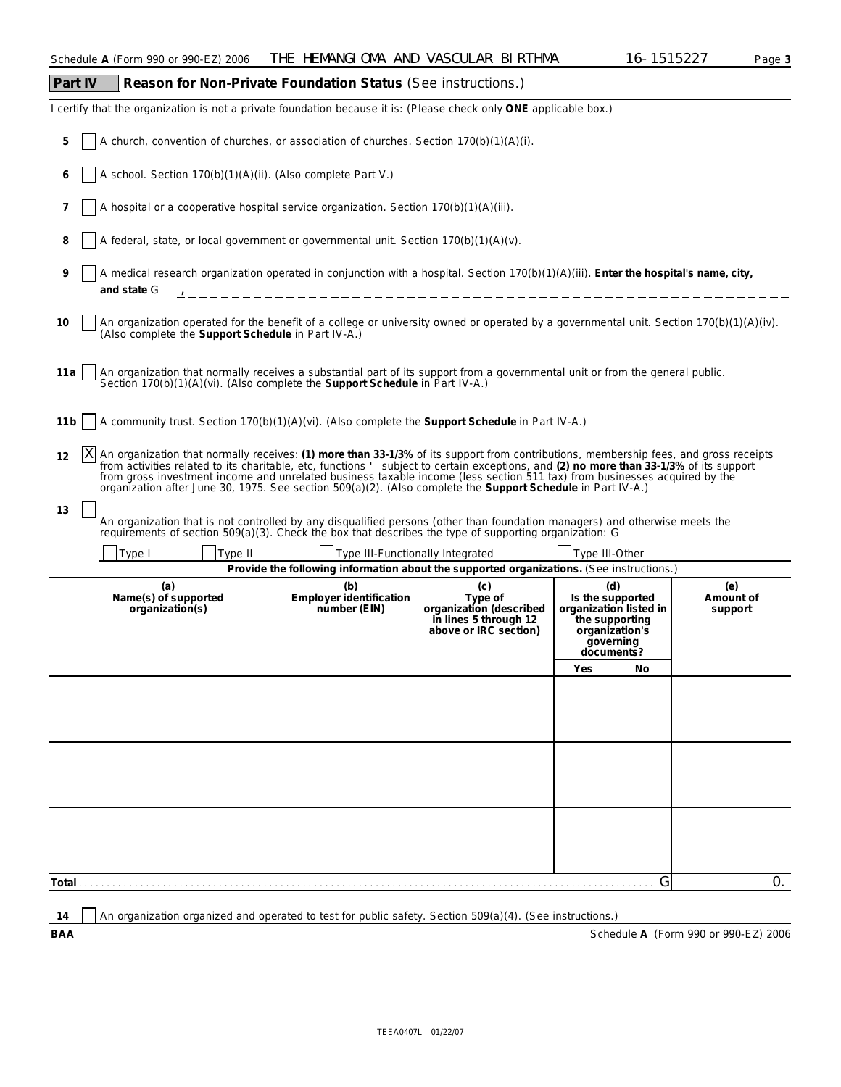## **Part IV Reason for Non-Private Foundation Status (See instructions.)** I certify that the organization is not a private foundation because it is: (Please check only **ONE** applicable box.) **5** A church, convention of churches, or association of churches. Section 170(b)(1)(A)(i). **6** A school. Section 170(b)(1)(A)(ii). (Also complete Part V.) **7** A hospital or a cooperative hospital service organization. Section 170(b)(1)(A)(iii). 8 A federal, state, or local government or governmental unit. Section 170(b)(1)(A)(v). **9** A medical research organization operated in conjunction with a hospital. Section 170(b)(1)(A)(iii). **Enter the hospital's name, city, and state** G 10 An organization operated for the benefit of a college or university owned or operated by a governmental unit. Section 170(b)(1)(A)(iv). (Also complete the **Support Schedule** in Part IV-A.) **11a** An organization that normally receives a substantial part of its support from a governmental unit or from the general public. Section 170(b)(1)(A)(vi). (Also complete the Support Schedule in Part IV-A.) **11b** A community trust. Section 170(b)(1)(A)(vi). (Also complete the **Support Schedule** in Part IV-A.) **Provide the following information about the supported organizations.** (See instructions.) **(a) Name(s) of supported organization(s) (b) Employer identification number (EIN) (c) Type of organization (described in lines 5 through 12 above or IRC section) (d) Is the supported organization listed in the supporting organization's governing documents? (e) Amount of support Yes No Total** . . . . . . . . . . . . . . . . . . . . . . . . . . . . . . . . . . . . . . . . . . . . . . . . . . . . . . . . . . . . . . . . . . . . . . . . . . . . . . . . . . . . . . . . . . . . . . . . . . . . . . . G 12 [X] An organization that normally receives: (1) more than 33-1/3% of its support from contributions, membership fees, and gross receipts<br>from activities related to its charitable, etc, functions ' subject to certain exc from gross investment income and unrelated business taxable income (less section 511 tax) from businesses acquired by the<br>organization after June 30, 1975. See section 509(a)(2). (Also complete the Support Schedule in Part **13** An organization that is not controlled by any disqualified persons (other than foundation managers) and otherwise meets the requirements of section 509(a)(3). Check the box that describes the type of supporting organization: G Type I Type II Type III Type III-Functionally Integrated Type III-Other X  $\overline{0}$ ,

14 An organization organized and operated to test for public safety. Section 509(a)(4). (See instructions.)

**BAA** Schedule **A** (Form 990 or 990-EZ) 2006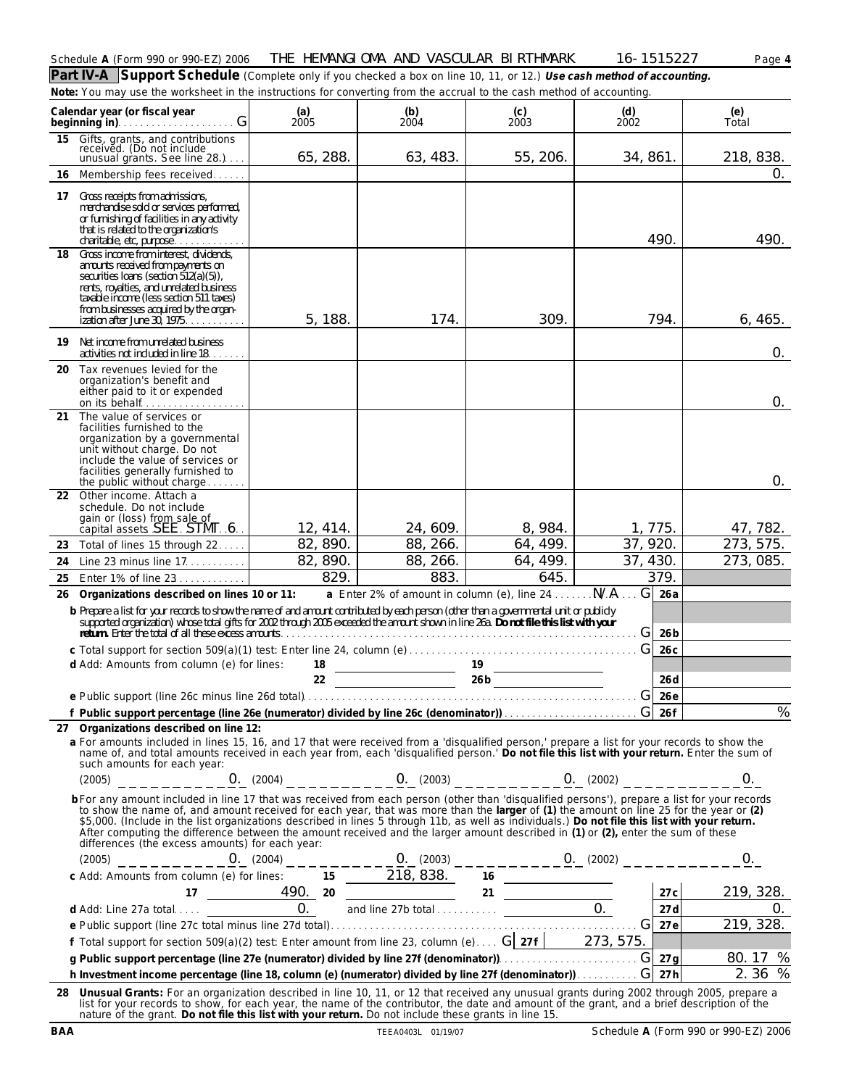| Schedule<br>'Form<br>$\Lambda$ | $- - -$<br>990<br>, or 990-F<br>- EZ' | THE<br>2006 | HEMANGI<br>' OMA | AND | VASCUL<br>∠LAR | <b>RTHMARK</b><br>BL | $\cap$ $\cap$ $\sup$<br>∼<br>r | Page |
|--------------------------------|---------------------------------------|-------------|------------------|-----|----------------|----------------------|--------------------------------|------|
|                                |                                       |             |                  |     |                |                      |                                |      |

**Part IV-A Support Schedule** (Complete only if you checked a box on line 10, 11, or 12.) **Use cash method of accounting. Note:** *You may use the worksheet in the instructions for converting from the accrual to the cash method of accounting.*

| Calendar year (or fiscal year                                                                                                                                                                                                                                                                                                                                                                                                                                                                                                                                                                                                  | (a)<br>2005          | (b)<br>2004          | (c)<br>2003                                      | (d)<br>2002          | (e)<br>Total          |
|--------------------------------------------------------------------------------------------------------------------------------------------------------------------------------------------------------------------------------------------------------------------------------------------------------------------------------------------------------------------------------------------------------------------------------------------------------------------------------------------------------------------------------------------------------------------------------------------------------------------------------|----------------------|----------------------|--------------------------------------------------|----------------------|-----------------------|
| Gifts, grants, and contributions<br>received. (Do not include<br>15<br>unusual grants. See line 28.)                                                                                                                                                                                                                                                                                                                                                                                                                                                                                                                           | 65, 288.             | 63, 483.             | 55, 206.                                         | 34, 861.             | 218, 838.             |
| Membership fees received<br>16                                                                                                                                                                                                                                                                                                                                                                                                                                                                                                                                                                                                 |                      |                      |                                                  |                      | 0.                    |
| Gross receipts from admissions,<br>17<br>merchandise sold or services performed,<br>or furnishing of facilities in any activity<br>that is related to the organization's<br>charitable, etc, purpose                                                                                                                                                                                                                                                                                                                                                                                                                           |                      |                      |                                                  | 490.                 | 490.                  |
| Gross income from interest, dividends,<br>18<br>amounts received from payments on<br>securities loans (section 512(a)(5)),<br>rents, royalties, and unrelated business<br>taxable income (less section 511 taxes)<br>from businesses acquired by the organ-<br>ization after June 30, 1975.                                                                                                                                                                                                                                                                                                                                    | 5, 188.              | 174.                 | 309.                                             | 794.                 | 6,465.                |
| Net income from unrelated business<br>19<br>activities not included in line 18.                                                                                                                                                                                                                                                                                                                                                                                                                                                                                                                                                |                      |                      |                                                  |                      | 0.                    |
| Tax revenues levied for the<br>20<br>organization's benefit and<br>either paid to it or expended<br>on its behalf                                                                                                                                                                                                                                                                                                                                                                                                                                                                                                              |                      |                      |                                                  |                      | 0.                    |
| The value of services or<br>21<br>facilities furnished to the<br>organization by a governmental<br>unit without charge. Do not<br>include the value of services or<br>facilities generally furnished to<br>the public without charge                                                                                                                                                                                                                                                                                                                                                                                           |                      |                      |                                                  |                      | 0.                    |
| Other income. Attach a<br>22<br>schedule. Do not include                                                                                                                                                                                                                                                                                                                                                                                                                                                                                                                                                                       |                      |                      |                                                  |                      |                       |
| gain or (loss) from sale of                                                                                                                                                                                                                                                                                                                                                                                                                                                                                                                                                                                                    |                      |                      |                                                  |                      |                       |
| capital assets SEE STMT 6.                                                                                                                                                                                                                                                                                                                                                                                                                                                                                                                                                                                                     | 12, 414.             | 24, 609.             | 8, 984.<br>64, 499.                              | 1,775.<br>37, 920.   | 47, 782.<br>273, 575. |
| Total of lines 15 through 22<br>23<br>Line 23 minus line 17.                                                                                                                                                                                                                                                                                                                                                                                                                                                                                                                                                                   | 82, 890.<br>82, 890. | 88, 266.<br>88, 266. | 64, 499.                                         | 37, 430.             | 273, 085.             |
| 24<br>Enter 1% of line 23<br>25                                                                                                                                                                                                                                                                                                                                                                                                                                                                                                                                                                                                | 829.                 | 883.                 | 645.                                             | 379.                 |                       |
| Organizations described on lines 10 or 11:<br>26                                                                                                                                                                                                                                                                                                                                                                                                                                                                                                                                                                               |                      |                      | a Enter 2% of amount in column (e), line 24  N/A | G<br>26a             |                       |
| b Prepare a list for your records to show the name of and amount contributed by each person (other than a governmental unit or publicly                                                                                                                                                                                                                                                                                                                                                                                                                                                                                        |                      |                      |                                                  |                      |                       |
| supported organization) whose total gifts for 2002 through 2005 exceeded the amount shown in line 26a. Do not file this list with your                                                                                                                                                                                                                                                                                                                                                                                                                                                                                         |                      |                      |                                                  | G<br>26 <sub>b</sub> |                       |
|                                                                                                                                                                                                                                                                                                                                                                                                                                                                                                                                                                                                                                |                      |                      |                                                  | G<br>26c             |                       |
| d Add: Amounts from column (e) for lines:                                                                                                                                                                                                                                                                                                                                                                                                                                                                                                                                                                                      |                      |                      | $\frac{18}{22}$ $\frac{19}{266}$                 |                      |                       |
|                                                                                                                                                                                                                                                                                                                                                                                                                                                                                                                                                                                                                                |                      |                      |                                                  | 26d<br>26e<br>G      |                       |
|                                                                                                                                                                                                                                                                                                                                                                                                                                                                                                                                                                                                                                |                      |                      |                                                  |                      | $\frac{0}{6}$         |
| 27 Organizations described on line 12:                                                                                                                                                                                                                                                                                                                                                                                                                                                                                                                                                                                         |                      |                      |                                                  |                      |                       |
| a For amounts included in lines 15, 16, and 17 that were received from a 'disqualified person,' prepare a list for your records to show the<br>name of, and total amounts received in each year from, each 'disqualified person.' Do not file this list with your return. Enter the sum of<br>such amounts for each year:                                                                                                                                                                                                                                                                                                      |                      |                      |                                                  |                      |                       |
| $(2005)$ $\qquad \qquad 22004)$ $\qquad \qquad 2004)$ $\qquad \qquad 22004)$ $\qquad \qquad 22003)$ $\qquad \qquad 22003)$ $\qquad \qquad 22002)$ $\qquad \qquad 22002)$ $\qquad \qquad 22002)$ $\qquad \qquad 22005)$                                                                                                                                                                                                                                                                                                                                                                                                         |                      |                      |                                                  |                      |                       |
| bFor any amount included in line 17 that was received from each person (other than 'disqualified persons'), prepare a list for your records<br>to show the name of, and amount received for each year, that was more than the larger of (1) the amount on line 25 for the year or (2)<br>\$5,000. (Include in the list organizations described in lines 5 through 11b, as well as individuals.) Do not file this list with your return.<br>After computing the difference between the amount received and the larger amount described in (1) or (2), enter the sum of these<br>differences (the excess amounts) for each year: |                      |                      |                                                  |                      |                       |
| (2005) $\underbrace{\phantom{0000}111}0.$ (2004) $\underbrace{\phantom{0000}000}20$ $\underbrace{\phantom{0000}000}21$ $\underbrace{\phantom{0000}000}21$ $\underbrace{\phantom{0000}000}20$ $\underbrace{\phantom{0000}000}21$ $\underbrace{\phantom{0000}000}20$ $\underbrace{\phantom{0000}000}21$ $\underbrace{\phantom{0000}000}21$ $\underbrace{\phantom{0000}000}2$                                                                                                                                                                                                                                                     |                      |                      |                                                  |                      |                       |
|                                                                                                                                                                                                                                                                                                                                                                                                                                                                                                                                                                                                                                |                      |                      |                                                  |                      |                       |
|                                                                                                                                                                                                                                                                                                                                                                                                                                                                                                                                                                                                                                |                      |                      |                                                  |                      |                       |
|                                                                                                                                                                                                                                                                                                                                                                                                                                                                                                                                                                                                                                |                      |                      |                                                  |                      |                       |
| F Total support for section 509(a)(2) test: Enter amount from line 23, column (e) G 27f 277 273, 575.                                                                                                                                                                                                                                                                                                                                                                                                                                                                                                                          |                      |                      |                                                  |                      |                       |
| g Public support percentage (line 27e (numerator) divided by line 27f (denominator). $\sqrt{G}$ 27g $\sqrt{G}$ 27g $\sqrt{G}$ 27g $\sqrt{G}$                                                                                                                                                                                                                                                                                                                                                                                                                                                                                   |                      |                      |                                                  |                      |                       |
| h Investment income percentage (line 18, column (e) (numerator) divided by line 27f (denominator)) G 27h 2.36 %                                                                                                                                                                                                                                                                                                                                                                                                                                                                                                                |                      |                      |                                                  |                      |                       |
| 28 Unusual Grants: For an organization described in line 10, 11, or 12 that received any unusual grants during 2002 through 2005, prepare a                                                                                                                                                                                                                                                                                                                                                                                                                                                                                    |                      |                      |                                                  |                      |                       |
| list for your records to show, for each year, the name of the contributor, the date and amount of the grant, and a brief description of the<br>nature of the grant. Do not file this list with your return. Do not include these grants in line 15.                                                                                                                                                                                                                                                                                                                                                                            |                      |                      |                                                  |                      |                       |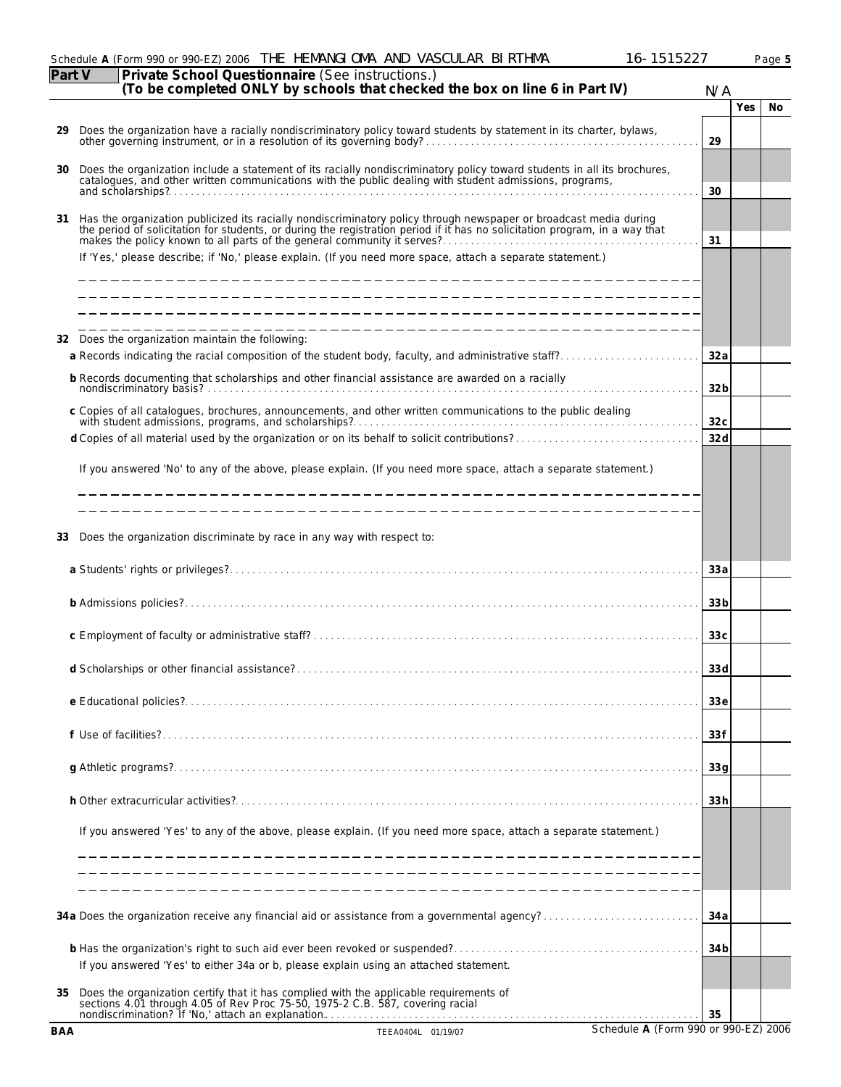|            | 16-1515227<br>Schedule A (Form 990 or 990-EZ) 2006 THE HEMANGI OMA AND VASCULAR BI RTHMA                                                                                                                                          |                 |     | Page 5 |
|------------|-----------------------------------------------------------------------------------------------------------------------------------------------------------------------------------------------------------------------------------|-----------------|-----|--------|
| Part V     | Private School Questionnaire (See instructions.)<br>(To be completed ONLY by schools that checked the box on line 6 in Part IV)                                                                                                   | N/A             |     |        |
|            |                                                                                                                                                                                                                                   |                 | Yes | No     |
| 29         |                                                                                                                                                                                                                                   | 29              |     |        |
| 30         | Does the organization include a statement of its racially nondiscriminatory policy toward students in all its brochures, catalogues, and other written communications with the public dealing with student admissions, program    | 30              |     |        |
| 31         | Has the organization publicized its racially nondiscriminatory policy through newspaper or broadcast media during<br>the period of solicitation for students, or during the registration period if it has no solicitation program | 31              |     |        |
|            | If 'Yes,' please describe; if 'No,' please explain. (If you need more space, attach a separate statement.)                                                                                                                        |                 |     |        |
|            |                                                                                                                                                                                                                                   |                 |     |        |
|            | 32 Does the organization maintain the following:                                                                                                                                                                                  | 32 a            |     |        |
|            | b Records documenting that scholarships and other financial assistance are awarded on a racially                                                                                                                                  | 32 <sub>b</sub> |     |        |
|            | c Copies of all catalogues, brochures, announcements, and other written communications to the public dealing                                                                                                                      | 32c             |     |        |
|            |                                                                                                                                                                                                                                   | 32d             |     |        |
|            | If you answered 'No' to any of the above, please explain. (If you need more space, attach a separate statement.)                                                                                                                  |                 |     |        |
|            |                                                                                                                                                                                                                                   |                 |     |        |
| 33         | Does the organization discriminate by race in any way with respect to:                                                                                                                                                            |                 |     |        |
|            |                                                                                                                                                                                                                                   | 33 a            |     |        |
|            |                                                                                                                                                                                                                                   | 33 <sub>b</sub> |     |        |
|            |                                                                                                                                                                                                                                   | 33c             |     |        |
|            |                                                                                                                                                                                                                                   | 33d             |     |        |
|            |                                                                                                                                                                                                                                   | 33e             |     |        |
|            |                                                                                                                                                                                                                                   | 33f             |     |        |
|            |                                                                                                                                                                                                                                   | 33q             |     |        |
|            |                                                                                                                                                                                                                                   | 33h             |     |        |
|            | If you answered 'Yes' to any of the above, please explain. (If you need more space, attach a separate statement.)                                                                                                                 |                 |     |        |
|            |                                                                                                                                                                                                                                   |                 |     |        |
|            |                                                                                                                                                                                                                                   | 34 a            |     |        |
|            | If you answered 'Yes' to either 34a or b, please explain using an attached statement.                                                                                                                                             | 34 b            |     |        |
| 35         | Does the organization certify that it has complied with the applicable requirements of sections 4.01 through 4.05 of Rev Proc 75-50, 1975-2 C.B. 587, covering racial<br>nondiscrimination? If 'No,' attach an explanation.       | 35              |     |        |
| <b>BAA</b> | Schedule A (Form 990 or 990-EZ) 2006<br>TEEA0404L 01/19/07                                                                                                                                                                        |                 |     |        |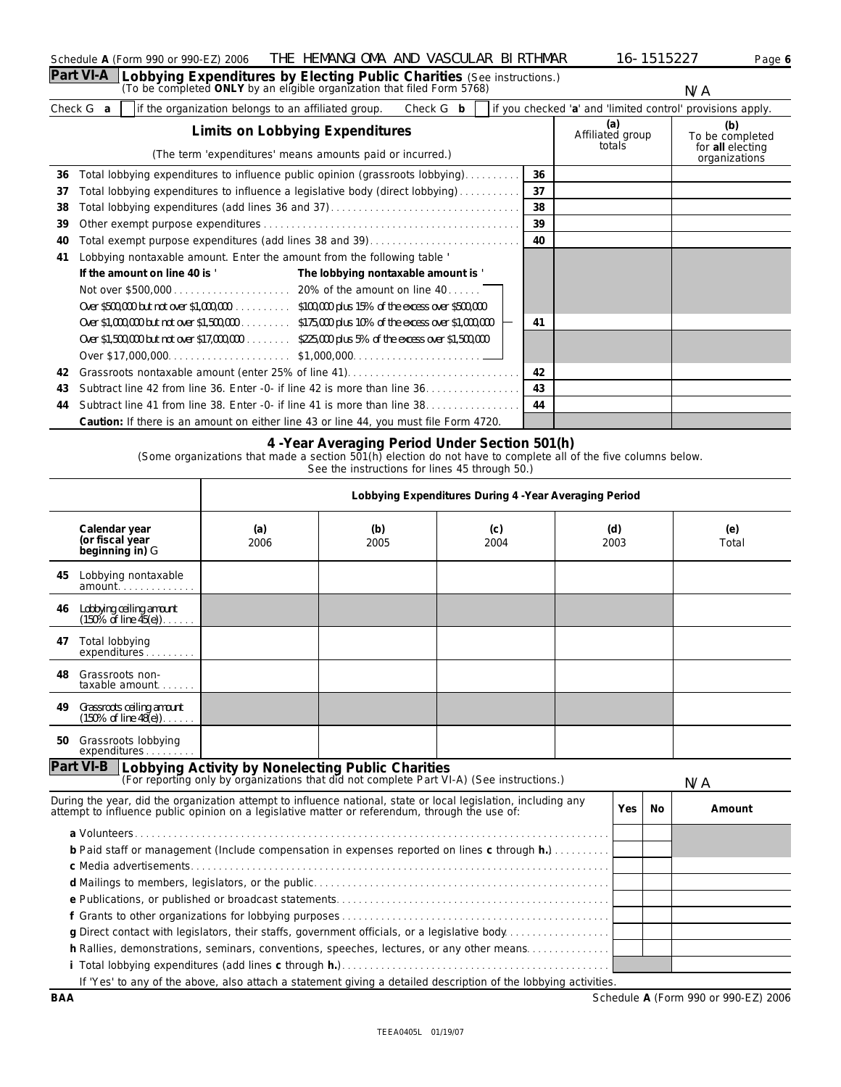| Schedule A (Form 990 or 990-EZ) 2006                                             | THE HEMANGLOMA AND VASCULAR BLRTHMAR |  | 16-1515227 | Page 6 |
|----------------------------------------------------------------------------------|--------------------------------------|--|------------|--------|
| Part VI-A Lobbying Expenditures by Electing Public Charities (See instructions.) |                                      |  |            |        |
| (To be completed ONLY by an eligible organization that filed Form 5768)          |                                      |  | N/A        |        |

Check G **a** if the organization belongs to an affiliated group. Check G **b** if you checked 'a' and 'limited control' provisions apply.

|    | The contract communication of the communication of the contract $\sigma$ and the contract contract of the contract of the contract of the contract of the contract of the contract of the contract of the contract of the contrac<br>Limits on Lobbying Expenditures<br>(The term 'expenditures' means amounts paid or incurred.) |    | (a)<br>Affiliated group<br>totals | (b)<br>To be completed<br>for all electing<br>organizations |
|----|-----------------------------------------------------------------------------------------------------------------------------------------------------------------------------------------------------------------------------------------------------------------------------------------------------------------------------------|----|-----------------------------------|-------------------------------------------------------------|
| 36 | Total lobbying expenditures to influence public opinion (grassroots lobbying)                                                                                                                                                                                                                                                     | 36 |                                   |                                                             |
| 37 | Total lobbying expenditures to influence a legislative body (direct lobbying)                                                                                                                                                                                                                                                     | 37 |                                   |                                                             |
| 38 |                                                                                                                                                                                                                                                                                                                                   | 38 |                                   |                                                             |
| 39 |                                                                                                                                                                                                                                                                                                                                   | 39 |                                   |                                                             |
| 40 | Total exempt purpose expenditures (add lines 38 and 39)                                                                                                                                                                                                                                                                           | 40 |                                   |                                                             |
| 41 | Lobbying nontaxable amount. Enter the amount from the following table '                                                                                                                                                                                                                                                           |    |                                   |                                                             |
|    | If the amount on line 40 is '<br>The lobbying nontaxable amount is '                                                                                                                                                                                                                                                              |    |                                   |                                                             |
|    |                                                                                                                                                                                                                                                                                                                                   |    |                                   |                                                             |
|    | Over \$500,000 but not over \$1,000,000. \$100,000 plus 15% of the excess over \$500,000                                                                                                                                                                                                                                          |    |                                   |                                                             |
|    | Over \$1,000,000 but not over \$1,500,000 \$175,000 plus 10% of the excess over \$1,000,000                                                                                                                                                                                                                                       | 41 |                                   |                                                             |
|    | Over \$1,500,000 but not over \$17,000,000 \$225,000 plus 5% of the excess over \$1,500,000                                                                                                                                                                                                                                       |    |                                   |                                                             |
|    |                                                                                                                                                                                                                                                                                                                                   |    |                                   |                                                             |
| 42 |                                                                                                                                                                                                                                                                                                                                   | 42 |                                   |                                                             |
| 43 | Subtract line 42 from line 36. Enter -0- if line 42 is more than line $36, \ldots, \ldots, \ldots, \ldots$                                                                                                                                                                                                                        | 43 |                                   |                                                             |
| 44 | Subtract line 41 from line 38. Enter -0- if line 41 is more than line 38.                                                                                                                                                                                                                                                         | 44 |                                   |                                                             |
|    | Caution: If there is an amount on either line 43 or line 44, you must file Form 4720.                                                                                                                                                                                                                                             |    |                                   |                                                             |

### **4 -Year Averaging Period Under Section 501(h)**

(Some organizations that made a section 501(h) election do not have to complete all of the five columns below.

See the instructions for lines 45 through 50.)

|    |                                                                                                                                                                                                                  |             | Lobbying Expenditures During 4 - Year Averaging Period |             |  |             |    |              |  |  |  |  |  |
|----|------------------------------------------------------------------------------------------------------------------------------------------------------------------------------------------------------------------|-------------|--------------------------------------------------------|-------------|--|-------------|----|--------------|--|--|--|--|--|
|    | Calendar year<br>(or fiscal year<br>beginning in) G                                                                                                                                                              | (a)<br>2006 | (b)<br>2005                                            | (c)<br>2004 |  | (d)<br>2003 |    | (e)<br>Total |  |  |  |  |  |
| 45 | Lobbying nontaxable                                                                                                                                                                                              |             |                                                        |             |  |             |    |              |  |  |  |  |  |
| 46 | Lobbying ceiling amount<br>$(150\% \text{ of line } 45(e))$                                                                                                                                                      |             |                                                        |             |  |             |    |              |  |  |  |  |  |
| 47 | Total lobbying<br>expenditures                                                                                                                                                                                   |             |                                                        |             |  |             |    |              |  |  |  |  |  |
| 48 | Grassroots non-<br>taxable amount                                                                                                                                                                                |             |                                                        |             |  |             |    |              |  |  |  |  |  |
| 49 | Grassroots ceiling amount<br>(150% of line 48(e))                                                                                                                                                                |             |                                                        |             |  |             |    |              |  |  |  |  |  |
| 50 | Grassroots lobbying<br>expenditures                                                                                                                                                                              |             |                                                        |             |  |             |    |              |  |  |  |  |  |
|    | Part VI-B Lobbying Activity by Nonelecting Public Charities<br>(For reporting only by organizations that did not complete Part VI-A) (See instructions.)                                                         |             |                                                        |             |  |             |    | N/A          |  |  |  |  |  |
|    | During the year, did the organization attempt to influence national, state or local legislation, including any<br>attempt to influence public opinion on a legislative matter or referendum, through the use of: |             |                                                        |             |  | Yes         | No | Amount       |  |  |  |  |  |
|    | b Paid staff or management (Include compensation in expenses reported on lines c through h.)                                                                                                                     |             |                                                        |             |  |             |    |              |  |  |  |  |  |
|    |                                                                                                                                                                                                                  |             |                                                        |             |  |             |    |              |  |  |  |  |  |
|    |                                                                                                                                                                                                                  |             |                                                        |             |  |             |    |              |  |  |  |  |  |
|    |                                                                                                                                                                                                                  |             |                                                        |             |  |             |    |              |  |  |  |  |  |
|    | g Direct contact with legislators, their staffs, government officials, or a legislative body                                                                                                                     |             |                                                        |             |  |             |    |              |  |  |  |  |  |
|    | h Rallies, demonstrations, seminars, conventions, speeches, lectures, or any other means                                                                                                                         |             |                                                        |             |  |             |    |              |  |  |  |  |  |
|    |                                                                                                                                                                                                                  |             |                                                        |             |  |             |    |              |  |  |  |  |  |
|    | If 'Yes' to any of the above, also attach a statement giving a detailed description of the lobbying activities.                                                                                                  |             |                                                        |             |  |             |    |              |  |  |  |  |  |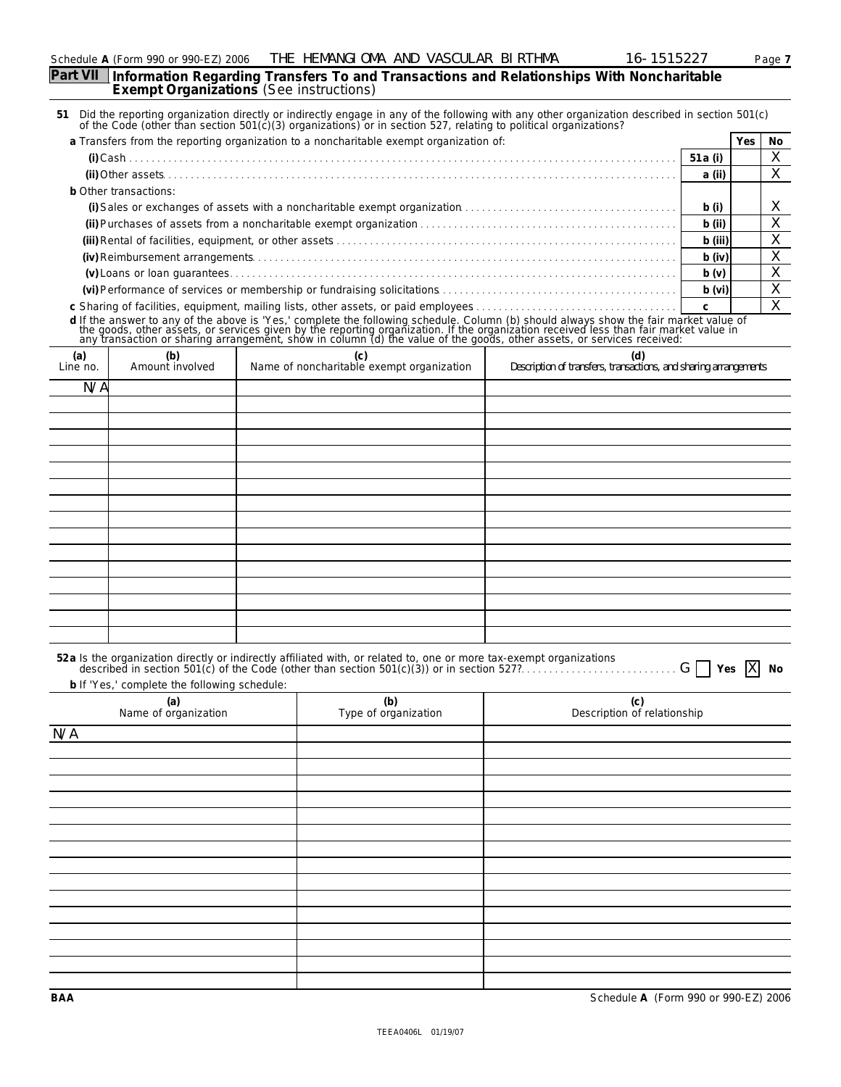| Schedule | 4 (Form 990 or 990-EZ). | THE<br>2006 | HEMANGI OMA | AND | ™HMA<br>- VASCULAR-BLRT | ∽<br>$\sim$ | Page |
|----------|-------------------------|-------------|-------------|-----|-------------------------|-------------|------|
|----------|-------------------------|-------------|-------------|-----|-------------------------|-------------|------|

**Part VII Information Regarding Transfers To and Transactions and Relationships With Noncharitable Exempt Organizations** (See instructions)

|                 |                                                                                                                                                                                                                                                                                                                      |  |  |                                                  |  | 51 Did the reporting organization directly or indirectly engage in any of the following with any other organization described in section 501(c) of the Code (other than section 501(c)(3) organizations) or in section 527, re |          |              |        |  |
|-----------------|----------------------------------------------------------------------------------------------------------------------------------------------------------------------------------------------------------------------------------------------------------------------------------------------------------------------|--|--|--------------------------------------------------|--|--------------------------------------------------------------------------------------------------------------------------------------------------------------------------------------------------------------------------------|----------|--------------|--------|--|
|                 | a Transfers from the reporting organization to a noncharitable exempt organization of:                                                                                                                                                                                                                               |  |  |                                                  |  |                                                                                                                                                                                                                                |          | Yes          | No     |  |
|                 |                                                                                                                                                                                                                                                                                                                      |  |  |                                                  |  |                                                                                                                                                                                                                                | 51 a (i) |              | X      |  |
|                 |                                                                                                                                                                                                                                                                                                                      |  |  |                                                  |  |                                                                                                                                                                                                                                | a (ii)   |              | Χ      |  |
|                 | b Other transactions:                                                                                                                                                                                                                                                                                                |  |  |                                                  |  |                                                                                                                                                                                                                                |          |              |        |  |
|                 |                                                                                                                                                                                                                                                                                                                      |  |  |                                                  |  |                                                                                                                                                                                                                                | b(i)     |              | Х      |  |
|                 |                                                                                                                                                                                                                                                                                                                      |  |  |                                                  |  |                                                                                                                                                                                                                                | $b$ (ii) |              | Χ      |  |
|                 |                                                                                                                                                                                                                                                                                                                      |  |  |                                                  |  |                                                                                                                                                                                                                                |          |              |        |  |
|                 |                                                                                                                                                                                                                                                                                                                      |  |  |                                                  |  |                                                                                                                                                                                                                                | b (iii)  |              | X      |  |
|                 |                                                                                                                                                                                                                                                                                                                      |  |  |                                                  |  |                                                                                                                                                                                                                                | $b$ (iv) |              | Χ      |  |
|                 |                                                                                                                                                                                                                                                                                                                      |  |  |                                                  |  |                                                                                                                                                                                                                                | b(v)     |              | Χ      |  |
|                 |                                                                                                                                                                                                                                                                                                                      |  |  |                                                  |  |                                                                                                                                                                                                                                | b (vi)   |              | Χ<br>X |  |
|                 | c Sharing of facilities, equipment, mailing lists, other assets, or paid employees<br>d If the answer to any of the above is 'Yes,' complete the following schedule. Column (b) should always show the fair market value of the goods, other assets, or services given by the reporting organization. If the organiz |  |  |                                                  |  |                                                                                                                                                                                                                                |          |              |        |  |
|                 |                                                                                                                                                                                                                                                                                                                      |  |  |                                                  |  |                                                                                                                                                                                                                                |          |              |        |  |
|                 |                                                                                                                                                                                                                                                                                                                      |  |  |                                                  |  |                                                                                                                                                                                                                                |          |              |        |  |
| (a)<br>Line no. | (b)<br>Amount involved                                                                                                                                                                                                                                                                                               |  |  | (c)<br>Name of noncharitable exempt organization |  | (d)<br>Description of transfers, transactions, and sharing arrangements                                                                                                                                                        |          |              |        |  |
| N/A             |                                                                                                                                                                                                                                                                                                                      |  |  |                                                  |  |                                                                                                                                                                                                                                |          |              |        |  |
|                 |                                                                                                                                                                                                                                                                                                                      |  |  |                                                  |  |                                                                                                                                                                                                                                |          |              |        |  |
|                 |                                                                                                                                                                                                                                                                                                                      |  |  |                                                  |  |                                                                                                                                                                                                                                |          |              |        |  |
|                 |                                                                                                                                                                                                                                                                                                                      |  |  |                                                  |  |                                                                                                                                                                                                                                |          |              |        |  |
|                 |                                                                                                                                                                                                                                                                                                                      |  |  |                                                  |  |                                                                                                                                                                                                                                |          |              |        |  |
|                 |                                                                                                                                                                                                                                                                                                                      |  |  |                                                  |  |                                                                                                                                                                                                                                |          |              |        |  |
|                 |                                                                                                                                                                                                                                                                                                                      |  |  |                                                  |  |                                                                                                                                                                                                                                |          |              |        |  |
|                 |                                                                                                                                                                                                                                                                                                                      |  |  |                                                  |  |                                                                                                                                                                                                                                |          |              |        |  |
|                 |                                                                                                                                                                                                                                                                                                                      |  |  |                                                  |  |                                                                                                                                                                                                                                |          |              |        |  |
|                 |                                                                                                                                                                                                                                                                                                                      |  |  |                                                  |  |                                                                                                                                                                                                                                |          |              |        |  |
|                 |                                                                                                                                                                                                                                                                                                                      |  |  |                                                  |  |                                                                                                                                                                                                                                |          |              |        |  |
|                 |                                                                                                                                                                                                                                                                                                                      |  |  |                                                  |  |                                                                                                                                                                                                                                |          |              |        |  |
|                 |                                                                                                                                                                                                                                                                                                                      |  |  |                                                  |  |                                                                                                                                                                                                                                |          |              |        |  |
|                 |                                                                                                                                                                                                                                                                                                                      |  |  |                                                  |  |                                                                                                                                                                                                                                |          |              |        |  |
|                 |                                                                                                                                                                                                                                                                                                                      |  |  |                                                  |  |                                                                                                                                                                                                                                |          |              |        |  |
|                 |                                                                                                                                                                                                                                                                                                                      |  |  |                                                  |  |                                                                                                                                                                                                                                |          |              |        |  |
|                 |                                                                                                                                                                                                                                                                                                                      |  |  |                                                  |  |                                                                                                                                                                                                                                |          |              |        |  |
|                 |                                                                                                                                                                                                                                                                                                                      |  |  |                                                  |  |                                                                                                                                                                                                                                |          |              |        |  |
|                 |                                                                                                                                                                                                                                                                                                                      |  |  |                                                  |  | 52a Is the organization directly or indirectly affiliated with, or related to, one or more tax-exempt organizations                                                                                                            |          |              |        |  |
|                 |                                                                                                                                                                                                                                                                                                                      |  |  |                                                  |  | described in section 501(c) of the Code (other than section 501(c)(3)) or in section 527?                                                                                                                                      | Yes      | $\mathsf{X}$ | No     |  |
|                 | b If 'Yes,' complete the following schedule:                                                                                                                                                                                                                                                                         |  |  |                                                  |  |                                                                                                                                                                                                                                |          |              |        |  |
|                 | (a)<br>Name of organization                                                                                                                                                                                                                                                                                          |  |  | (b)<br>Type of organization                      |  | (c)<br>Description of relationship                                                                                                                                                                                             |          |              |        |  |
| N/A             |                                                                                                                                                                                                                                                                                                                      |  |  |                                                  |  |                                                                                                                                                                                                                                |          |              |        |  |
|                 |                                                                                                                                                                                                                                                                                                                      |  |  |                                                  |  |                                                                                                                                                                                                                                |          |              |        |  |
|                 |                                                                                                                                                                                                                                                                                                                      |  |  |                                                  |  |                                                                                                                                                                                                                                |          |              |        |  |
|                 |                                                                                                                                                                                                                                                                                                                      |  |  |                                                  |  |                                                                                                                                                                                                                                |          |              |        |  |
|                 |                                                                                                                                                                                                                                                                                                                      |  |  |                                                  |  |                                                                                                                                                                                                                                |          |              |        |  |
|                 |                                                                                                                                                                                                                                                                                                                      |  |  |                                                  |  |                                                                                                                                                                                                                                |          |              |        |  |
|                 |                                                                                                                                                                                                                                                                                                                      |  |  |                                                  |  |                                                                                                                                                                                                                                |          |              |        |  |
|                 |                                                                                                                                                                                                                                                                                                                      |  |  |                                                  |  |                                                                                                                                                                                                                                |          |              |        |  |
|                 |                                                                                                                                                                                                                                                                                                                      |  |  |                                                  |  |                                                                                                                                                                                                                                |          |              |        |  |
|                 |                                                                                                                                                                                                                                                                                                                      |  |  |                                                  |  |                                                                                                                                                                                                                                |          |              |        |  |
|                 |                                                                                                                                                                                                                                                                                                                      |  |  |                                                  |  |                                                                                                                                                                                                                                |          |              |        |  |
|                 |                                                                                                                                                                                                                                                                                                                      |  |  |                                                  |  |                                                                                                                                                                                                                                |          |              |        |  |
|                 |                                                                                                                                                                                                                                                                                                                      |  |  |                                                  |  |                                                                                                                                                                                                                                |          |              |        |  |
|                 |                                                                                                                                                                                                                                                                                                                      |  |  |                                                  |  |                                                                                                                                                                                                                                |          |              |        |  |
|                 |                                                                                                                                                                                                                                                                                                                      |  |  |                                                  |  |                                                                                                                                                                                                                                |          |              |        |  |
|                 |                                                                                                                                                                                                                                                                                                                      |  |  |                                                  |  |                                                                                                                                                                                                                                |          |              |        |  |
|                 |                                                                                                                                                                                                                                                                                                                      |  |  |                                                  |  |                                                                                                                                                                                                                                |          |              |        |  |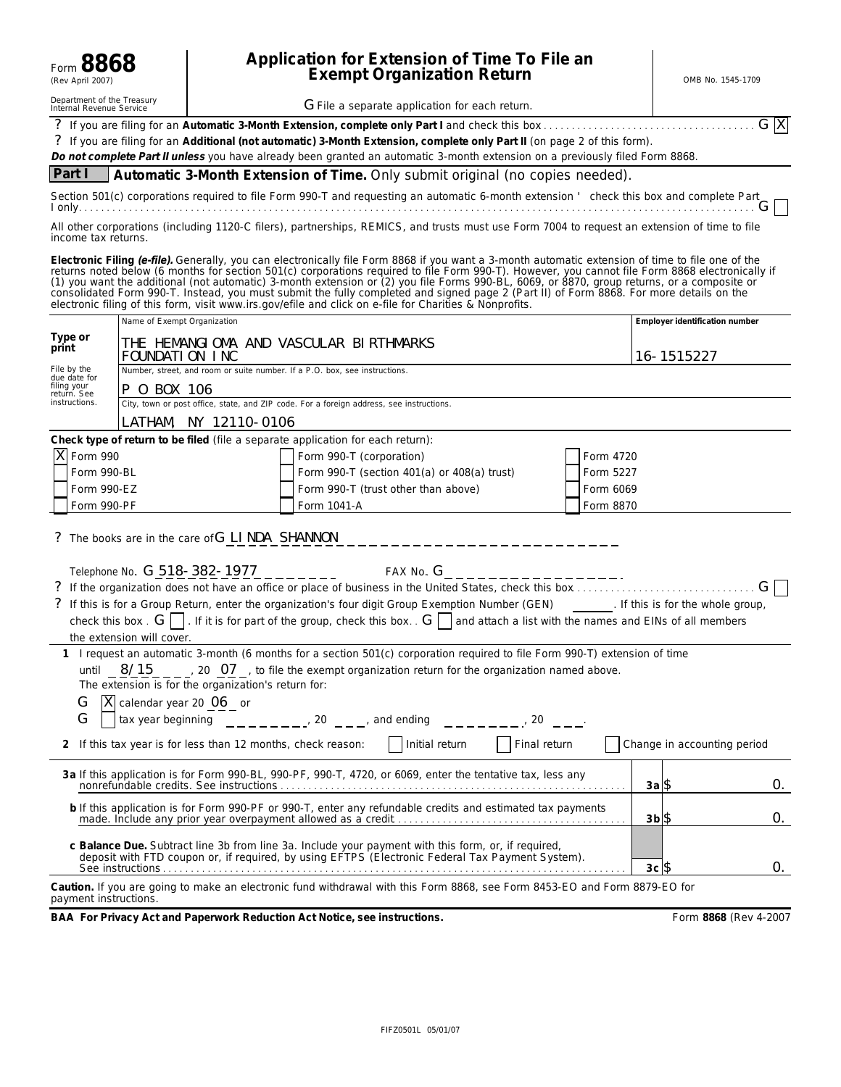| Form 8868<br>(Rev April 2007)                                                                                                                                                                                                                                                                                                                                                                                                                                                                                                                                                                                                                |                                                                                                                                                                      | Application for Extension of Time To File an<br><b>Exempt Organization Return</b> |                                                                                                                            |           | OMB No. 1545-1709              |  |  |  |
|----------------------------------------------------------------------------------------------------------------------------------------------------------------------------------------------------------------------------------------------------------------------------------------------------------------------------------------------------------------------------------------------------------------------------------------------------------------------------------------------------------------------------------------------------------------------------------------------------------------------------------------------|----------------------------------------------------------------------------------------------------------------------------------------------------------------------|-----------------------------------------------------------------------------------|----------------------------------------------------------------------------------------------------------------------------|-----------|--------------------------------|--|--|--|
| Department of the Treasury<br>Internal Revenue Service                                                                                                                                                                                                                                                                                                                                                                                                                                                                                                                                                                                       |                                                                                                                                                                      | G File a separate application for each return.                                    |                                                                                                                            |           |                                |  |  |  |
| G X<br>? If you are filing for an Additional (not automatic) 3-Month Extension, complete only Part II (on page 2 of this form).<br>Do not complete Part II unless you have already been granted an automatic 3-month extension on a previously filed Form 8868.                                                                                                                                                                                                                                                                                                                                                                              |                                                                                                                                                                      |                                                                                   |                                                                                                                            |           |                                |  |  |  |
| Part I                                                                                                                                                                                                                                                                                                                                                                                                                                                                                                                                                                                                                                       |                                                                                                                                                                      |                                                                                   | Automatic 3-Month Extension of Time. Only submit original (no copies needed).                                              |           |                                |  |  |  |
| Section 501(c) corporations required to file Form 990-T and requesting an automatic 6-month extension ' check this box and complete Part                                                                                                                                                                                                                                                                                                                                                                                                                                                                                                     |                                                                                                                                                                      |                                                                                   |                                                                                                                            |           |                                |  |  |  |
|                                                                                                                                                                                                                                                                                                                                                                                                                                                                                                                                                                                                                                              | All other corporations (including 1120-C filers), partnerships, REMICS, and trusts must use Form 7004 to request an extension of time to file<br>income tax returns. |                                                                                   |                                                                                                                            |           |                                |  |  |  |
| Electronic Filing (e-file). Generally, you can electronically file Form 8868 if you want a 3-month automatic extension of time to file one of the<br>returns noted below (6 months for section 501(c) corporations required to file Form 990-T). However, you cannot file Form 8868 electronically if<br>(1) you want the additional (not automatic) 3-month extension or (2) you file<br>consolidated Form 990-T. Instead, you must submit the fully completed and signed page 2 (Part II) of Form 8868. For more details on the<br>electronic filing of this form, visit www.irs.gov/efile and click on e-file for Charities & Nonprofits. |                                                                                                                                                                      |                                                                                   |                                                                                                                            |           |                                |  |  |  |
|                                                                                                                                                                                                                                                                                                                                                                                                                                                                                                                                                                                                                                              | Name of Exempt Organization                                                                                                                                          |                                                                                   |                                                                                                                            |           | Employer identification number |  |  |  |
| Type or<br>print                                                                                                                                                                                                                                                                                                                                                                                                                                                                                                                                                                                                                             | FOUNDATION INC                                                                                                                                                       | THE HEMANGIOMA AND VASCULAR BIRTHMARKS                                            |                                                                                                                            |           | 16-1515227                     |  |  |  |
| File by the<br>due date for<br>filing your                                                                                                                                                                                                                                                                                                                                                                                                                                                                                                                                                                                                   |                                                                                                                                                                      | Number, street, and room or suite number. If a P.O. box, see instructions.        |                                                                                                                            |           |                                |  |  |  |
| return. See<br>instructions.                                                                                                                                                                                                                                                                                                                                                                                                                                                                                                                                                                                                                 | P 0 BOX 106                                                                                                                                                          |                                                                                   | City, town or post office, state, and ZIP code. For a foreign address, see instructions.                                   |           |                                |  |  |  |
|                                                                                                                                                                                                                                                                                                                                                                                                                                                                                                                                                                                                                                              |                                                                                                                                                                      | LATHAM, NY 12110-0106                                                             |                                                                                                                            |           |                                |  |  |  |
|                                                                                                                                                                                                                                                                                                                                                                                                                                                                                                                                                                                                                                              |                                                                                                                                                                      |                                                                                   | Check type of return to be filed (file a separate application for each return):                                            |           |                                |  |  |  |
| X Form 990                                                                                                                                                                                                                                                                                                                                                                                                                                                                                                                                                                                                                                   |                                                                                                                                                                      |                                                                                   | Form 990-T (corporation)                                                                                                   | Form 4720 |                                |  |  |  |
| Form 990-BL                                                                                                                                                                                                                                                                                                                                                                                                                                                                                                                                                                                                                                  |                                                                                                                                                                      |                                                                                   | Form 990-T (section 401(a) or 408(a) trust)<br>Form 5227                                                                   |           |                                |  |  |  |
| Form 990-EZ                                                                                                                                                                                                                                                                                                                                                                                                                                                                                                                                                                                                                                  |                                                                                                                                                                      |                                                                                   | Form 990-T (trust other than above)                                                                                        | Form 6069 |                                |  |  |  |
| Form 990-PF                                                                                                                                                                                                                                                                                                                                                                                                                                                                                                                                                                                                                                  |                                                                                                                                                                      |                                                                                   | Form 1041-A<br>Form 8870                                                                                                   |           |                                |  |  |  |
|                                                                                                                                                                                                                                                                                                                                                                                                                                                                                                                                                                                                                                              |                                                                                                                                                                      | ? The books are in the care of G LI NDA SHANNON                                   | _________________                                                                                                          |           |                                |  |  |  |
|                                                                                                                                                                                                                                                                                                                                                                                                                                                                                                                                                                                                                                              |                                                                                                                                                                      | Telephone No. G 518-382-1977__________                                            | FAX No. G                                                                                                                  |           |                                |  |  |  |
|                                                                                                                                                                                                                                                                                                                                                                                                                                                                                                                                                                                                                                              |                                                                                                                                                                      |                                                                                   |                                                                                                                            |           | G.                             |  |  |  |
| ? If this is for a Group Return, enter the organization's four digit Group Exemption Number (GEN) [16]. If this is for the whole group,<br>check this box. $G \cap$ . If it is for part of the group, check this box. $G \cap$ and attach a list with the names and EINs of all members                                                                                                                                                                                                                                                                                                                                                      |                                                                                                                                                                      |                                                                                   |                                                                                                                            |           |                                |  |  |  |
|                                                                                                                                                                                                                                                                                                                                                                                                                                                                                                                                                                                                                                              | the extension will cover.                                                                                                                                            |                                                                                   |                                                                                                                            |           |                                |  |  |  |
| 1 I request an automatic 3-month (6 months for a section 501(c) corporation required to file Form 990-T) extension of time<br>until $8/15$ _ _ _, 20 07 _, to file the exempt organization return for the organization named above.<br>The extension is for the organization's return for:                                                                                                                                                                                                                                                                                                                                                   |                                                                                                                                                                      |                                                                                   |                                                                                                                            |           |                                |  |  |  |
| $ \overline{X} $ calendar year 20 06 or<br>G<br>G<br>tax year beginning $\qquad \qquad$ _ _ _ _ , 20 _ _ _ , and ending _ _ _ _ _ _ _ , 20 _ _ _                                                                                                                                                                                                                                                                                                                                                                                                                                                                                             |                                                                                                                                                                      |                                                                                   |                                                                                                                            |           |                                |  |  |  |
| Final return<br>Initial return<br>Change in accounting period<br>If this tax year is for less than 12 months, check reason:<br>2                                                                                                                                                                                                                                                                                                                                                                                                                                                                                                             |                                                                                                                                                                      |                                                                                   |                                                                                                                            |           |                                |  |  |  |
|                                                                                                                                                                                                                                                                                                                                                                                                                                                                                                                                                                                                                                              |                                                                                                                                                                      |                                                                                   | 3a If this application is for Form 990-BL, 990-PF, 990-T, 4720, or 6069, enter the tentative tax, less any                 |           | $3a$ \$<br>0.                  |  |  |  |
| b If this application is for Form 990-PF or 990-T, enter any refundable credits and estimated tax payments<br>$3b$ \$<br>0.                                                                                                                                                                                                                                                                                                                                                                                                                                                                                                                  |                                                                                                                                                                      |                                                                                   |                                                                                                                            |           |                                |  |  |  |
| c Balance Due. Subtract line 3b from line 3a. Include your payment with this form, or, if required,<br>deposit with FTD coupon or, if required, by using EFTPS (Electronic Federal Tax Payment System).<br>$3c$ \$                                                                                                                                                                                                                                                                                                                                                                                                                           |                                                                                                                                                                      |                                                                                   |                                                                                                                            |           |                                |  |  |  |
| payment instructions.                                                                                                                                                                                                                                                                                                                                                                                                                                                                                                                                                                                                                        |                                                                                                                                                                      |                                                                                   | Caution. If you are going to make an electronic fund withdrawal with this Form 8868, see Form 8453-EO and Form 8879-EO for |           |                                |  |  |  |

**BAA For Privacy Act and Paperwork Reduction Act Notice, see instructions.** Form 8868 (Rev 4-2007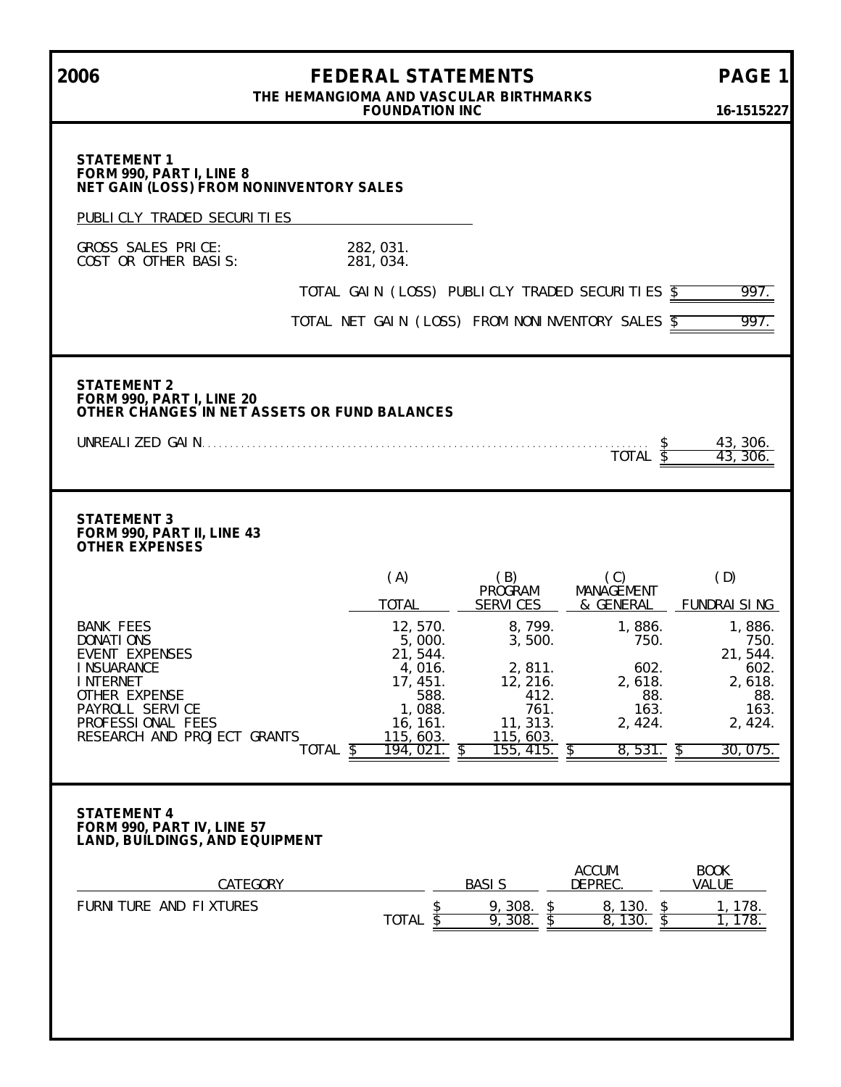**2006 FEDERAL STATEMENTS PAGE 1 THE HEMANGIOMA AND VASCULAR BIRTHMARKS FOUNDATION INC 16-1515227 STATEMENT 1 FORM 990, PART I, LINE 8 NET GAIN (LOSS) FROM NONINVENTORY SALES** PUBLICLY TRADED SECURITIES GROSS SALES PRICE: 282,031.<br>COST OR OTHER BASIS: 281,034. COST OR OTHER BASIS: TOTAL GAIN (LOSS) PUBLICLY TRADED SECURITIES  $\overline{\$}$  997. TOTAL NET GAIN (LOSS) FROM NONINVENTORY SALES \$997. **STATEMENT 2 FORM 990, PART I, LINE 20 OTHER CHANGES IN NET ASSETS OR FUND BALANCES** UNREALIZED GAIN. . . . . . . . . . . . . . . . . . . . . . . . . . . . . . . . . . . . . . . . . . . . . . . . . . . . . . . . . . . . . . . . . . . . . . . . . . . . . . . . \$ 43,306.  $\frac{43,306.}{43,306.}$ **STATEMENT 3 FORM 990, PART II, LINE 43 OTHER EXPENSES** (A) (B) (C) (D) PRÒGRAM MANAGÉMENT<br>SERVICES & GENERAL TOTAL SERVICES & GENERAL FUNDRAISING BANK FEES 12,570. 8,799. 1,886. 1,886. DONATIONS 5,000. 3,500. 750. 750. EVENT EXPENSES 21, 544.<br>1 INSUARANCE 2, 811. 2, 811. 2, 802. 21, 544. INSUARANCE 4,016. 2,811. 602. 602. INTERNET 17,451. 12,216. 2,618. 2,618. 17, 451. 12, 216. 2, 618. 2, 618.<br>17, 451. 12, 216. 2, 618. 2, 618. 88.<br>PAYROLL SERVICE 1, 088. 1, 088. 761. 163. 163. 163. PAYROLL SERVICE 1,088. 761. 163. 163. 163. 163.<br>PROFESSIONAL FEES 16,161. 11,313. 2,424. 2,424. PROFESSIONAL FEES 16,161. 11,313.<br>RESEARCH AND PROJECT GRANTS 115,603. 115,603. RESEARCH AND PROJECT GRANTS 115,603.<br>TOTAL \$ 194,021. 155, 415. \$ 8,531. \$ 30,075. **STATEMENT 4 FORM 990, PART IV, LINE 57 LAND, BUILDINGS, AND EQUIPMENT** ACCUM. BOOK<br>DEPREC. VALUE CATEGORY BASIS FURNITURE AND FIXTURES  $\frac{\$}{100}$  , 308.  $\frac{\$}{100}$  8, 130.  $\frac{\$}{100}$  1, 178. TOTAL \$9,308. \$8,130. \$1,178.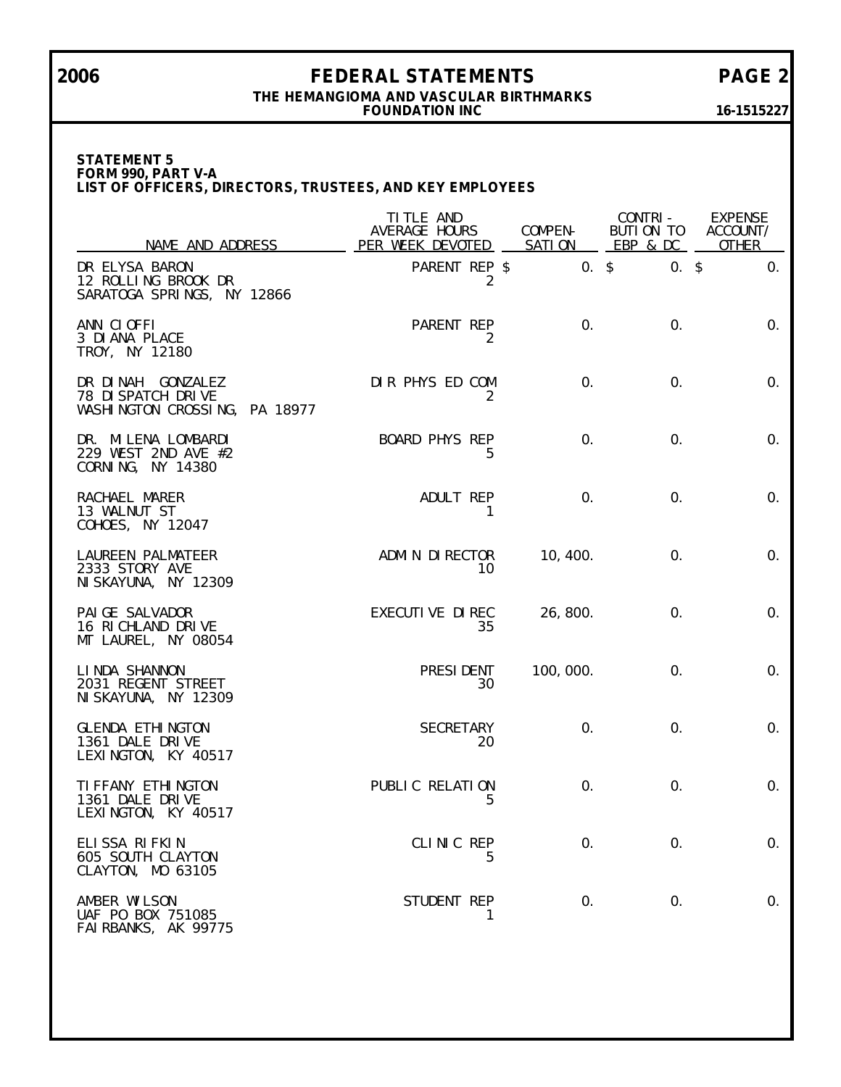# **2006 FEDERAL STATEMENTS PAGE 2**

### **THE HEMANGIOMA AND VASCULAR BIRTHMARKS FOUNDATION INC 16-1515227**

**STATEMENT 5 FORM 990, PART V-A LIST OF OFFICERS, DIRECTORS, TRUSTEES, AND KEY EMPLOYEES**

| NAME AND ADDRESS                                                         | TI TLE AND<br>AVERAGE HOURS<br>PER WEEK DEVOTED | COMPEN-<br>SATI ON | CONTRI-<br>BUTION TO<br>EBP & DC | <b>EXPENSE</b><br>ACCOUNT/<br><b>OTHER</b> |
|--------------------------------------------------------------------------|-------------------------------------------------|--------------------|----------------------------------|--------------------------------------------|
| DR ELYSA BARON<br>12 ROLLING BROOK DR<br>SARATOGA SPRINGS, NY 12866      | PARENT REP \$<br>2                              | $0.$ \$            | $0.$ \$                          | 0.                                         |
| ANN CLOFFI<br>3 DI ANA PLACE<br>TROY, NY 12180                           | PARENT REP<br>2                                 | 0.                 | $\mathbf{0}$ .                   | $\mathsf{O}$ .                             |
| DR DINAH GONZALEZ<br>78 DI SPATCH DRIVE<br>WASHINGTON CROSSING, PA 18977 | DIR PHYS ED COM<br>2                            | 0.                 | 0.                               | $\mathsf{O}$ .                             |
| DR. MILENA LOMBARDI<br>229 WEST 2ND AVE #2<br>CORNING, NY 14380          | <b>BOARD PHYS REP</b><br>5                      | 0.                 | $\mathbf{0}$ .                   | $\mathsf{O}$ .                             |
| RACHAEL MARER<br>13 WALNUT ST<br>COHOES, NY 12047                        | ADULT REP<br>1                                  | $\mathbf{0}$ .     | 0.                               | $\mathsf{O}$ .                             |
| LAUREEN PALMATEER<br>2333 STORY AVE<br>NI SKAYUNA, NY 12309              | ADMIN DIRECTOR<br>10                            | 10, 400.           | 0.                               | $\mathbf{0}$ .                             |
| PAI GE SALVADOR<br>16 RICHLAND DRIVE<br>MT LAUREL, NY 08054              | EXECUTIVE DIREC<br>35                           | 26, 800.           | 0.                               | $\mathbf{0}$ .                             |
| LINDA SHANNON<br>2031 REGENT STREET<br>NI SKAYUNA, NY 12309              | PRESI DENT<br>30                                | 100, 000.          | 0.                               | $\mathbf{0}$ .                             |
| <b>GLENDA ETHINGTON</b><br>1361 DALE DRIVE<br>LEXINGTON, KY 40517        | <b>SECRETARY</b><br>20                          | 0.                 | 0.                               | $\mathbf{0}$ .                             |
| TI FFANY ETHI NGTON<br>1361 DALE DRIVE<br>LEXINGTON, KY 40517            | PUBLIC RELATION<br>5                            | 0.                 | 0.                               | 0.                                         |
| ELISSA RIFKIN<br>605 SOUTH CLAYTON<br>CLAYTON, MO 63105                  | CLINIC REP<br>5                                 | 0.                 | 0.                               | 0.                                         |
| AMBER WILSON<br>UAF PO BOX 751085<br>FAI RBANKS, AK 99775                | STUDENT REP<br>1                                | 0.                 | $\mathbf{0}$ .                   | 0.                                         |